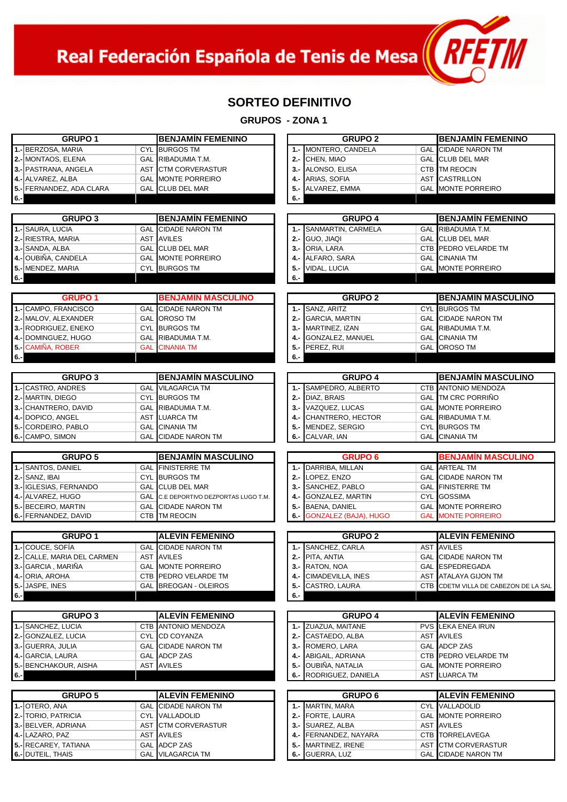Real Federación Española de Tenis de Mesa $\left(\sqrt{N+1}\right)$ 

1

## **SORTEO DEFINITIVO**

| 1.- BERZOSA, MARIA<br>1.- MONTERO, CANDELA<br><b>GAL CIDADE NARON TM</b><br><b>CYL BURGOS TM</b><br>2.- MONTAOS, ELENA<br>GAL RIBADUMIA T.M.<br>2.- CHEN, MIAO<br><b>GAL CLUB DEL MAR</b><br>3.- PASTRANA, ANGELA<br>AST CTM CORVERASTUR<br>3.- ALONSO, ELISA<br><b>CTB</b> TM REOCIN<br>4.- ALVAREZ, ALBA<br><b>GAL MONTE PORREIRO</b><br>4 .- ARIAS, SOFIA<br><b>AST CASTRILLON</b><br>5.- FERNANDEZ, ADA CLARA<br>GAL CLUB DEL MAR<br><b>GAL MONTE PORREIRO</b><br>$5 -$<br>ALVAREZ, EMMA<br>$6. -$<br>6.-<br><b>BENJAMÍN FEMENINO</b><br><b>GRUPO 4</b><br><b>BENJAMÍN FEMENINO</b><br><b>GRUPO 3</b><br><b>GAL CIDADE NARON TM</b><br>1.- SANMARTIN, CARMELA<br><b>GAL RIBADUMIA T.M.</b><br>AST AVILES<br>$2 -$<br>GUO, JIAQI<br><b>GAL CLUB DEL MAR</b><br><b>GAL CLUB DEL MAR</b><br>CTB PEDRO VELARDE TM<br>3.- ORIA, LARA<br><b>GAL MONTE PORREIRO</b><br><b>GAL</b> CINANIA TM<br>4.- OUBIÑA, CANDELA<br>4 .- ALFARO, SARA<br>5.- MENDEZ, MARIA<br>CYL BURGOS TM<br><b>GAL MONTE PORREIRO</b><br>$5 -$<br><b>VIDAL, LUCIA</b><br>6.-<br><b>GRUPO 1</b><br><b>BENJAMIN MASCULINO</b><br><b>GRUPO 2</b><br><b>BENJAMIN MASCULINO</b><br><b>GAL CIDADE NARON TM</b><br>1.- SANZ, ARITZ<br><b>CYL BURGOS TM</b><br><b>GAL OROSO TM</b><br>$2 -$<br><b>GAL CIDADE NARON TM</b><br><b>GARCIA, MARTIN</b><br><b>CYL BURGOS TM</b><br>3.- MARTINEZ, IZAN<br>GAL RIBADUMIA T.M.<br>GAL RIBADUMIA T.M.<br><b>GAL</b> CINANIA TM<br>4.- DOMINGUEZ, HUGO<br>4 .- GONZALEZ, MANUEL<br><b>GAL CINANIA TM</b><br>GAL OROSO TM<br>5.- CAMIÑA, ROBER<br>5.- PEREZ, RUI<br>6.-<br><b>GRUPO 3</b><br><b>GRUPO 4</b><br><b>BENJAMÍN MASCULINO</b><br><b>BENJAMIN MASCULINO</b><br>1.- SAMPEDRO, ALBERTO<br>CTB ANTONIO MENDOZA<br><b>GAL</b> VILAGARCIA TM<br><b>GAL TM CRC PORRIÑO</b><br><b>CYL BURGOS TM</b><br>2.- DIAZ. BRAIS<br>GAL RIBADUMIA T.M.<br>3.- VAZQUEZ, LUCAS<br><b>GAL MONTE PORREIRO</b><br>4 .- DOPICO, ANGEL<br>AST LUARCA TM<br>4.- CHANTRERO, HECTOR<br>GAL RIBADUMIA T.M.<br><b>CYL BURGOS TM</b><br><b>GAL</b> CINANIA TM<br>$5 -$<br>MENDEZ, SERGIO<br><b>CIDADE NARON TM</b><br><b>GAL</b> CINANIA TM<br>GAL<br>CALVAR, IAN<br>6.-<br><b>GRUPO 5</b><br><b>BENJAMIN MASCULINO</b><br><b>GRUPO 6</b><br><b>BENJAMIN MASCULINO</b><br><b>GAL FINISTERRE TM</b><br>1.- DARRIBA, MILLAN<br><b>GAL ARTEAL</b> TM<br>2.- SANZ, IBAI<br><b>CYL BURGOS TM</b><br>2.- LOPEZ, ENZO<br><b>GAL CIDADE NARON TM</b><br>3.- IGLESIAS, FERNANDO<br><b>GAL CLUB DEL MAR</b><br>3.- SANCHEZ, PABLO<br><b>GAL FINISTERRE TM</b><br>4 .- GONZALEZ, MARTIN<br><b>CYL GOSSIMA</b><br>GAL C.E DEPORTIVO DEZPORTAS LUGO T.M.<br><b>GAL CIDADE NARON TM</b><br><b>BAENA, DANIEL</b><br><b>GAL MONTE PORREIRO</b><br>5.-<br><b>CTB</b> TM REOCIN<br><b>GONZALEZ (BAJA), HUGO</b><br><b>MONTE PORREIRO</b><br>$6 -$<br><b>GAL</b><br><b>GRUPO 1</b><br><b>ALEVÍN FEMENINO</b><br><b>GRUPO 2</b><br><b>ALEVÍN FEMENINO</b><br><b>CIDADE NARON TM</b><br>1.- SANCHEZ, CARLA<br><b>AST AVILES</b><br>GAL<br><b>AST AVILES</b><br><b>GAL CIDADE NARON TM</b><br><b>2.-</b> CALLE, MARIA DEL CARMEN<br>2.- PITA, ANTIA<br>3.- RATON, NOA<br>GAL ESPEDREGADA<br><b>GAL MONTE PORREIRO</b><br>CTB PEDRO VELARDE TM<br>4.- CIMADEVILLA, INES<br>AST ATALAYA GIJON TM<br>5.- JASPE, INES<br>GAL BREOGAN - OLEIROS<br>CASTRO, LAURA<br>CTB CDETM VILLA DE CABEZON DE LA SAL<br>5.-<br>6.-<br><b>GRUPO 4</b><br><b>GRUPO 3</b><br><b>ALEVIN FEMENINO</b><br><b>ALEVIN FEMENINO</b><br>CTB ANTONIO MENDOZA<br>1.- ZUAZUA, MAITANE<br>PVS LEKA ENEA IRUN<br>2.- GONZALEZ, LUCIA<br>CYL CD COYANZA<br>2.- CASTAEDO, ALBA<br>AST AVILES<br>3.- GUERRA, JULIA<br><b>GAL CIDADE NARON TM</b><br>3.- ROMERO, LARA<br><b>GAL</b> ADCP ZAS<br>GAL ADCP ZAS<br>CTB PEDRO VELARDE TM<br>4.- GARCIA, LAURA<br>ABIGAIL, ADRIANA<br>4.-<br>5.- BENCHAKOUR, AISHA<br>AST AVILES<br>OUBIÑA, NATALIA<br><b>GAL MONTE PORREIRO</b><br>5.-<br>RODRIGUEZ, DANIELA<br>AST LUARCA TM<br>6.-<br><b>GRUPO 5</b><br><b>ALEVIN FEMENINO</b><br><b>GRUPO 6</b><br><b>ALEVIN FEMENINO</b><br><b>GAL CIDADE NARON TM</b><br>1.- MARTIN, MARA<br><b>CYL VALLADOLID</b><br>CYL VALLADOLID<br><b>GAL MONTE PORREIRO</b><br><b>2.-</b> TORIO, PATRICIA<br>2.- FORTE, LAURA<br>3.- BELVER, ADRIANA<br>AST CTM CORVERASTUR<br>AST AVILES<br>3.- SUAREZ, ALBA<br>4 .- LAZARO, PAZ<br>AST AVILES<br>4.- FERNANDEZ, NAYARA<br><b>CTB TORRELAVEGA</b><br>GAL ADCP ZAS<br>5.- MARTINEZ, IRENE<br>AST CTM CORVERASTUR<br><b>GAL VILAGARCIA TM</b><br><b>GUERRA, LUZ</b><br><b>GAL CIDADE NARON TM</b><br>6.- | <b>GRUPO 1</b> | <b>BENJAMIN FEMENINO</b> | <b>GRUPO 2</b> | <b>BENJAMIN FEMENINO</b> |
|--------------------------------------------------------------------------------------------------------------------------------------------------------------------------------------------------------------------------------------------------------------------------------------------------------------------------------------------------------------------------------------------------------------------------------------------------------------------------------------------------------------------------------------------------------------------------------------------------------------------------------------------------------------------------------------------------------------------------------------------------------------------------------------------------------------------------------------------------------------------------------------------------------------------------------------------------------------------------------------------------------------------------------------------------------------------------------------------------------------------------------------------------------------------------------------------------------------------------------------------------------------------------------------------------------------------------------------------------------------------------------------------------------------------------------------------------------------------------------------------------------------------------------------------------------------------------------------------------------------------------------------------------------------------------------------------------------------------------------------------------------------------------------------------------------------------------------------------------------------------------------------------------------------------------------------------------------------------------------------------------------------------------------------------------------------------------------------------------------------------------------------------------------------------------------------------------------------------------------------------------------------------------------------------------------------------------------------------------------------------------------------------------------------------------------------------------------------------------------------------------------------------------------------------------------------------------------------------------------------------------------------------------------------------------------------------------------------------------------------------------------------------------------------------------------------------------------------------------------------------------------------------------------------------------------------------------------------------------------------------------------------------------------------------------------------------------------------------------------------------------------------------------------------------------------------------------------------------------------------------------------------------------------------------------------------------------------------------------------------------------------------------------------------------------------------------------------------------------------------------------------------------------------------------------------------------------------------------------------------------------------------------------------------------------------------------------------------------------------------------------------------------------------------------------------------------------------------------------------------------------------------------------------------------------------------------------------------------------------------------------------------------------------------------------------------------------------------------------------------------------------------------------------------------------------------------------------------------------------------------------------------------------------------------------------------------------------------------------------------------------------------------------------------------------------------------------------------------------------------------------------------------------------------------------|----------------|--------------------------|----------------|--------------------------|
|                                                                                                                                                                                                                                                                                                                                                                                                                                                                                                                                                                                                                                                                                                                                                                                                                                                                                                                                                                                                                                                                                                                                                                                                                                                                                                                                                                                                                                                                                                                                                                                                                                                                                                                                                                                                                                                                                                                                                                                                                                                                                                                                                                                                                                                                                                                                                                                                                                                                                                                                                                                                                                                                                                                                                                                                                                                                                                                                                                                                                                                                                                                                                                                                                                                                                                                                                                                                                                                                                                                                                                                                                                                                                                                                                                                                                                                                                                                                                                                                                                                                                                                                                                                                                                                                                                                                                                                                                                                                                                                                                  |                |                          |                |                          |
|                                                                                                                                                                                                                                                                                                                                                                                                                                                                                                                                                                                                                                                                                                                                                                                                                                                                                                                                                                                                                                                                                                                                                                                                                                                                                                                                                                                                                                                                                                                                                                                                                                                                                                                                                                                                                                                                                                                                                                                                                                                                                                                                                                                                                                                                                                                                                                                                                                                                                                                                                                                                                                                                                                                                                                                                                                                                                                                                                                                                                                                                                                                                                                                                                                                                                                                                                                                                                                                                                                                                                                                                                                                                                                                                                                                                                                                                                                                                                                                                                                                                                                                                                                                                                                                                                                                                                                                                                                                                                                                                                  |                |                          |                |                          |
|                                                                                                                                                                                                                                                                                                                                                                                                                                                                                                                                                                                                                                                                                                                                                                                                                                                                                                                                                                                                                                                                                                                                                                                                                                                                                                                                                                                                                                                                                                                                                                                                                                                                                                                                                                                                                                                                                                                                                                                                                                                                                                                                                                                                                                                                                                                                                                                                                                                                                                                                                                                                                                                                                                                                                                                                                                                                                                                                                                                                                                                                                                                                                                                                                                                                                                                                                                                                                                                                                                                                                                                                                                                                                                                                                                                                                                                                                                                                                                                                                                                                                                                                                                                                                                                                                                                                                                                                                                                                                                                                                  |                |                          |                |                          |
|                                                                                                                                                                                                                                                                                                                                                                                                                                                                                                                                                                                                                                                                                                                                                                                                                                                                                                                                                                                                                                                                                                                                                                                                                                                                                                                                                                                                                                                                                                                                                                                                                                                                                                                                                                                                                                                                                                                                                                                                                                                                                                                                                                                                                                                                                                                                                                                                                                                                                                                                                                                                                                                                                                                                                                                                                                                                                                                                                                                                                                                                                                                                                                                                                                                                                                                                                                                                                                                                                                                                                                                                                                                                                                                                                                                                                                                                                                                                                                                                                                                                                                                                                                                                                                                                                                                                                                                                                                                                                                                                                  |                |                          |                |                          |
| 1.- SAURA, LUCIA<br>2.- RIESTRA, MARIA<br>3.- SANDA, ALBA<br>$6 -$<br>1.- CAMPO, FRANCISCO<br>2.- MALOV, ALEXANDER<br>3.- RODRIGUEZ, ENEKO<br>$6 -$<br>1.- CASTRO, ANDRES<br>2.- MARTIN, DIEGO<br>3.- CHANTRERO, DAVID<br>5.- CORDEIRO, PABLO<br>6.- CAMPO, SIMON<br>1.- SANTOS, DANIEL<br>4 .- ALVAREZ, HUGO<br>5.- BECEIRO, MARTIN<br>6.- FERNANDEZ, DAVID<br>1.-COUCE, SOFÍA<br>3.- GARCIA, MARIÑA<br>4 .- ORIA, AROHA<br>$6. -$<br>1.- SANCHEZ, LUCIA<br>$6. -$<br>1.-OTERO, ANA<br>5.- RECAREY, TATIANA<br>6 .- DUTEIL, THAIS                                                                                                                                                                                                                                                                                                                                                                                                                                                                                                                                                                                                                                                                                                                                                                                                                                                                                                                                                                                                                                                                                                                                                                                                                                                                                                                                                                                                                                                                                                                                                                                                                                                                                                                                                                                                                                                                                                                                                                                                                                                                                                                                                                                                                                                                                                                                                                                                                                                                                                                                                                                                                                                                                                                                                                                                                                                                                                                                                                                                                                                                                                                                                                                                                                                                                                                                                                                                                                                                                                                                                                                                                                                                                                                                                                                                                                                                                                                                                                                                               |                |                          |                |                          |
|                                                                                                                                                                                                                                                                                                                                                                                                                                                                                                                                                                                                                                                                                                                                                                                                                                                                                                                                                                                                                                                                                                                                                                                                                                                                                                                                                                                                                                                                                                                                                                                                                                                                                                                                                                                                                                                                                                                                                                                                                                                                                                                                                                                                                                                                                                                                                                                                                                                                                                                                                                                                                                                                                                                                                                                                                                                                                                                                                                                                                                                                                                                                                                                                                                                                                                                                                                                                                                                                                                                                                                                                                                                                                                                                                                                                                                                                                                                                                                                                                                                                                                                                                                                                                                                                                                                                                                                                                                                                                                                                                  |                |                          |                |                          |
|                                                                                                                                                                                                                                                                                                                                                                                                                                                                                                                                                                                                                                                                                                                                                                                                                                                                                                                                                                                                                                                                                                                                                                                                                                                                                                                                                                                                                                                                                                                                                                                                                                                                                                                                                                                                                                                                                                                                                                                                                                                                                                                                                                                                                                                                                                                                                                                                                                                                                                                                                                                                                                                                                                                                                                                                                                                                                                                                                                                                                                                                                                                                                                                                                                                                                                                                                                                                                                                                                                                                                                                                                                                                                                                                                                                                                                                                                                                                                                                                                                                                                                                                                                                                                                                                                                                                                                                                                                                                                                                                                  |                |                          |                |                          |
|                                                                                                                                                                                                                                                                                                                                                                                                                                                                                                                                                                                                                                                                                                                                                                                                                                                                                                                                                                                                                                                                                                                                                                                                                                                                                                                                                                                                                                                                                                                                                                                                                                                                                                                                                                                                                                                                                                                                                                                                                                                                                                                                                                                                                                                                                                                                                                                                                                                                                                                                                                                                                                                                                                                                                                                                                                                                                                                                                                                                                                                                                                                                                                                                                                                                                                                                                                                                                                                                                                                                                                                                                                                                                                                                                                                                                                                                                                                                                                                                                                                                                                                                                                                                                                                                                                                                                                                                                                                                                                                                                  |                |                          |                |                          |
|                                                                                                                                                                                                                                                                                                                                                                                                                                                                                                                                                                                                                                                                                                                                                                                                                                                                                                                                                                                                                                                                                                                                                                                                                                                                                                                                                                                                                                                                                                                                                                                                                                                                                                                                                                                                                                                                                                                                                                                                                                                                                                                                                                                                                                                                                                                                                                                                                                                                                                                                                                                                                                                                                                                                                                                                                                                                                                                                                                                                                                                                                                                                                                                                                                                                                                                                                                                                                                                                                                                                                                                                                                                                                                                                                                                                                                                                                                                                                                                                                                                                                                                                                                                                                                                                                                                                                                                                                                                                                                                                                  |                |                          |                |                          |
|                                                                                                                                                                                                                                                                                                                                                                                                                                                                                                                                                                                                                                                                                                                                                                                                                                                                                                                                                                                                                                                                                                                                                                                                                                                                                                                                                                                                                                                                                                                                                                                                                                                                                                                                                                                                                                                                                                                                                                                                                                                                                                                                                                                                                                                                                                                                                                                                                                                                                                                                                                                                                                                                                                                                                                                                                                                                                                                                                                                                                                                                                                                                                                                                                                                                                                                                                                                                                                                                                                                                                                                                                                                                                                                                                                                                                                                                                                                                                                                                                                                                                                                                                                                                                                                                                                                                                                                                                                                                                                                                                  |                |                          |                |                          |
|                                                                                                                                                                                                                                                                                                                                                                                                                                                                                                                                                                                                                                                                                                                                                                                                                                                                                                                                                                                                                                                                                                                                                                                                                                                                                                                                                                                                                                                                                                                                                                                                                                                                                                                                                                                                                                                                                                                                                                                                                                                                                                                                                                                                                                                                                                                                                                                                                                                                                                                                                                                                                                                                                                                                                                                                                                                                                                                                                                                                                                                                                                                                                                                                                                                                                                                                                                                                                                                                                                                                                                                                                                                                                                                                                                                                                                                                                                                                                                                                                                                                                                                                                                                                                                                                                                                                                                                                                                                                                                                                                  |                |                          |                |                          |
|                                                                                                                                                                                                                                                                                                                                                                                                                                                                                                                                                                                                                                                                                                                                                                                                                                                                                                                                                                                                                                                                                                                                                                                                                                                                                                                                                                                                                                                                                                                                                                                                                                                                                                                                                                                                                                                                                                                                                                                                                                                                                                                                                                                                                                                                                                                                                                                                                                                                                                                                                                                                                                                                                                                                                                                                                                                                                                                                                                                                                                                                                                                                                                                                                                                                                                                                                                                                                                                                                                                                                                                                                                                                                                                                                                                                                                                                                                                                                                                                                                                                                                                                                                                                                                                                                                                                                                                                                                                                                                                                                  |                |                          |                |                          |
|                                                                                                                                                                                                                                                                                                                                                                                                                                                                                                                                                                                                                                                                                                                                                                                                                                                                                                                                                                                                                                                                                                                                                                                                                                                                                                                                                                                                                                                                                                                                                                                                                                                                                                                                                                                                                                                                                                                                                                                                                                                                                                                                                                                                                                                                                                                                                                                                                                                                                                                                                                                                                                                                                                                                                                                                                                                                                                                                                                                                                                                                                                                                                                                                                                                                                                                                                                                                                                                                                                                                                                                                                                                                                                                                                                                                                                                                                                                                                                                                                                                                                                                                                                                                                                                                                                                                                                                                                                                                                                                                                  |                |                          |                |                          |
|                                                                                                                                                                                                                                                                                                                                                                                                                                                                                                                                                                                                                                                                                                                                                                                                                                                                                                                                                                                                                                                                                                                                                                                                                                                                                                                                                                                                                                                                                                                                                                                                                                                                                                                                                                                                                                                                                                                                                                                                                                                                                                                                                                                                                                                                                                                                                                                                                                                                                                                                                                                                                                                                                                                                                                                                                                                                                                                                                                                                                                                                                                                                                                                                                                                                                                                                                                                                                                                                                                                                                                                                                                                                                                                                                                                                                                                                                                                                                                                                                                                                                                                                                                                                                                                                                                                                                                                                                                                                                                                                                  |                |                          |                |                          |
|                                                                                                                                                                                                                                                                                                                                                                                                                                                                                                                                                                                                                                                                                                                                                                                                                                                                                                                                                                                                                                                                                                                                                                                                                                                                                                                                                                                                                                                                                                                                                                                                                                                                                                                                                                                                                                                                                                                                                                                                                                                                                                                                                                                                                                                                                                                                                                                                                                                                                                                                                                                                                                                                                                                                                                                                                                                                                                                                                                                                                                                                                                                                                                                                                                                                                                                                                                                                                                                                                                                                                                                                                                                                                                                                                                                                                                                                                                                                                                                                                                                                                                                                                                                                                                                                                                                                                                                                                                                                                                                                                  |                |                          |                |                          |
|                                                                                                                                                                                                                                                                                                                                                                                                                                                                                                                                                                                                                                                                                                                                                                                                                                                                                                                                                                                                                                                                                                                                                                                                                                                                                                                                                                                                                                                                                                                                                                                                                                                                                                                                                                                                                                                                                                                                                                                                                                                                                                                                                                                                                                                                                                                                                                                                                                                                                                                                                                                                                                                                                                                                                                                                                                                                                                                                                                                                                                                                                                                                                                                                                                                                                                                                                                                                                                                                                                                                                                                                                                                                                                                                                                                                                                                                                                                                                                                                                                                                                                                                                                                                                                                                                                                                                                                                                                                                                                                                                  |                |                          |                |                          |
|                                                                                                                                                                                                                                                                                                                                                                                                                                                                                                                                                                                                                                                                                                                                                                                                                                                                                                                                                                                                                                                                                                                                                                                                                                                                                                                                                                                                                                                                                                                                                                                                                                                                                                                                                                                                                                                                                                                                                                                                                                                                                                                                                                                                                                                                                                                                                                                                                                                                                                                                                                                                                                                                                                                                                                                                                                                                                                                                                                                                                                                                                                                                                                                                                                                                                                                                                                                                                                                                                                                                                                                                                                                                                                                                                                                                                                                                                                                                                                                                                                                                                                                                                                                                                                                                                                                                                                                                                                                                                                                                                  |                |                          |                |                          |
|                                                                                                                                                                                                                                                                                                                                                                                                                                                                                                                                                                                                                                                                                                                                                                                                                                                                                                                                                                                                                                                                                                                                                                                                                                                                                                                                                                                                                                                                                                                                                                                                                                                                                                                                                                                                                                                                                                                                                                                                                                                                                                                                                                                                                                                                                                                                                                                                                                                                                                                                                                                                                                                                                                                                                                                                                                                                                                                                                                                                                                                                                                                                                                                                                                                                                                                                                                                                                                                                                                                                                                                                                                                                                                                                                                                                                                                                                                                                                                                                                                                                                                                                                                                                                                                                                                                                                                                                                                                                                                                                                  |                |                          |                |                          |
|                                                                                                                                                                                                                                                                                                                                                                                                                                                                                                                                                                                                                                                                                                                                                                                                                                                                                                                                                                                                                                                                                                                                                                                                                                                                                                                                                                                                                                                                                                                                                                                                                                                                                                                                                                                                                                                                                                                                                                                                                                                                                                                                                                                                                                                                                                                                                                                                                                                                                                                                                                                                                                                                                                                                                                                                                                                                                                                                                                                                                                                                                                                                                                                                                                                                                                                                                                                                                                                                                                                                                                                                                                                                                                                                                                                                                                                                                                                                                                                                                                                                                                                                                                                                                                                                                                                                                                                                                                                                                                                                                  |                |                          |                |                          |
|                                                                                                                                                                                                                                                                                                                                                                                                                                                                                                                                                                                                                                                                                                                                                                                                                                                                                                                                                                                                                                                                                                                                                                                                                                                                                                                                                                                                                                                                                                                                                                                                                                                                                                                                                                                                                                                                                                                                                                                                                                                                                                                                                                                                                                                                                                                                                                                                                                                                                                                                                                                                                                                                                                                                                                                                                                                                                                                                                                                                                                                                                                                                                                                                                                                                                                                                                                                                                                                                                                                                                                                                                                                                                                                                                                                                                                                                                                                                                                                                                                                                                                                                                                                                                                                                                                                                                                                                                                                                                                                                                  |                |                          |                |                          |
|                                                                                                                                                                                                                                                                                                                                                                                                                                                                                                                                                                                                                                                                                                                                                                                                                                                                                                                                                                                                                                                                                                                                                                                                                                                                                                                                                                                                                                                                                                                                                                                                                                                                                                                                                                                                                                                                                                                                                                                                                                                                                                                                                                                                                                                                                                                                                                                                                                                                                                                                                                                                                                                                                                                                                                                                                                                                                                                                                                                                                                                                                                                                                                                                                                                                                                                                                                                                                                                                                                                                                                                                                                                                                                                                                                                                                                                                                                                                                                                                                                                                                                                                                                                                                                                                                                                                                                                                                                                                                                                                                  |                |                          |                |                          |
|                                                                                                                                                                                                                                                                                                                                                                                                                                                                                                                                                                                                                                                                                                                                                                                                                                                                                                                                                                                                                                                                                                                                                                                                                                                                                                                                                                                                                                                                                                                                                                                                                                                                                                                                                                                                                                                                                                                                                                                                                                                                                                                                                                                                                                                                                                                                                                                                                                                                                                                                                                                                                                                                                                                                                                                                                                                                                                                                                                                                                                                                                                                                                                                                                                                                                                                                                                                                                                                                                                                                                                                                                                                                                                                                                                                                                                                                                                                                                                                                                                                                                                                                                                                                                                                                                                                                                                                                                                                                                                                                                  |                |                          |                |                          |
|                                                                                                                                                                                                                                                                                                                                                                                                                                                                                                                                                                                                                                                                                                                                                                                                                                                                                                                                                                                                                                                                                                                                                                                                                                                                                                                                                                                                                                                                                                                                                                                                                                                                                                                                                                                                                                                                                                                                                                                                                                                                                                                                                                                                                                                                                                                                                                                                                                                                                                                                                                                                                                                                                                                                                                                                                                                                                                                                                                                                                                                                                                                                                                                                                                                                                                                                                                                                                                                                                                                                                                                                                                                                                                                                                                                                                                                                                                                                                                                                                                                                                                                                                                                                                                                                                                                                                                                                                                                                                                                                                  |                |                          |                |                          |
|                                                                                                                                                                                                                                                                                                                                                                                                                                                                                                                                                                                                                                                                                                                                                                                                                                                                                                                                                                                                                                                                                                                                                                                                                                                                                                                                                                                                                                                                                                                                                                                                                                                                                                                                                                                                                                                                                                                                                                                                                                                                                                                                                                                                                                                                                                                                                                                                                                                                                                                                                                                                                                                                                                                                                                                                                                                                                                                                                                                                                                                                                                                                                                                                                                                                                                                                                                                                                                                                                                                                                                                                                                                                                                                                                                                                                                                                                                                                                                                                                                                                                                                                                                                                                                                                                                                                                                                                                                                                                                                                                  |                |                          |                |                          |
|                                                                                                                                                                                                                                                                                                                                                                                                                                                                                                                                                                                                                                                                                                                                                                                                                                                                                                                                                                                                                                                                                                                                                                                                                                                                                                                                                                                                                                                                                                                                                                                                                                                                                                                                                                                                                                                                                                                                                                                                                                                                                                                                                                                                                                                                                                                                                                                                                                                                                                                                                                                                                                                                                                                                                                                                                                                                                                                                                                                                                                                                                                                                                                                                                                                                                                                                                                                                                                                                                                                                                                                                                                                                                                                                                                                                                                                                                                                                                                                                                                                                                                                                                                                                                                                                                                                                                                                                                                                                                                                                                  |                |                          |                |                          |
|                                                                                                                                                                                                                                                                                                                                                                                                                                                                                                                                                                                                                                                                                                                                                                                                                                                                                                                                                                                                                                                                                                                                                                                                                                                                                                                                                                                                                                                                                                                                                                                                                                                                                                                                                                                                                                                                                                                                                                                                                                                                                                                                                                                                                                                                                                                                                                                                                                                                                                                                                                                                                                                                                                                                                                                                                                                                                                                                                                                                                                                                                                                                                                                                                                                                                                                                                                                                                                                                                                                                                                                                                                                                                                                                                                                                                                                                                                                                                                                                                                                                                                                                                                                                                                                                                                                                                                                                                                                                                                                                                  |                |                          |                |                          |
|                                                                                                                                                                                                                                                                                                                                                                                                                                                                                                                                                                                                                                                                                                                                                                                                                                                                                                                                                                                                                                                                                                                                                                                                                                                                                                                                                                                                                                                                                                                                                                                                                                                                                                                                                                                                                                                                                                                                                                                                                                                                                                                                                                                                                                                                                                                                                                                                                                                                                                                                                                                                                                                                                                                                                                                                                                                                                                                                                                                                                                                                                                                                                                                                                                                                                                                                                                                                                                                                                                                                                                                                                                                                                                                                                                                                                                                                                                                                                                                                                                                                                                                                                                                                                                                                                                                                                                                                                                                                                                                                                  |                |                          |                |                          |
|                                                                                                                                                                                                                                                                                                                                                                                                                                                                                                                                                                                                                                                                                                                                                                                                                                                                                                                                                                                                                                                                                                                                                                                                                                                                                                                                                                                                                                                                                                                                                                                                                                                                                                                                                                                                                                                                                                                                                                                                                                                                                                                                                                                                                                                                                                                                                                                                                                                                                                                                                                                                                                                                                                                                                                                                                                                                                                                                                                                                                                                                                                                                                                                                                                                                                                                                                                                                                                                                                                                                                                                                                                                                                                                                                                                                                                                                                                                                                                                                                                                                                                                                                                                                                                                                                                                                                                                                                                                                                                                                                  |                |                          |                |                          |
|                                                                                                                                                                                                                                                                                                                                                                                                                                                                                                                                                                                                                                                                                                                                                                                                                                                                                                                                                                                                                                                                                                                                                                                                                                                                                                                                                                                                                                                                                                                                                                                                                                                                                                                                                                                                                                                                                                                                                                                                                                                                                                                                                                                                                                                                                                                                                                                                                                                                                                                                                                                                                                                                                                                                                                                                                                                                                                                                                                                                                                                                                                                                                                                                                                                                                                                                                                                                                                                                                                                                                                                                                                                                                                                                                                                                                                                                                                                                                                                                                                                                                                                                                                                                                                                                                                                                                                                                                                                                                                                                                  |                |                          |                |                          |
|                                                                                                                                                                                                                                                                                                                                                                                                                                                                                                                                                                                                                                                                                                                                                                                                                                                                                                                                                                                                                                                                                                                                                                                                                                                                                                                                                                                                                                                                                                                                                                                                                                                                                                                                                                                                                                                                                                                                                                                                                                                                                                                                                                                                                                                                                                                                                                                                                                                                                                                                                                                                                                                                                                                                                                                                                                                                                                                                                                                                                                                                                                                                                                                                                                                                                                                                                                                                                                                                                                                                                                                                                                                                                                                                                                                                                                                                                                                                                                                                                                                                                                                                                                                                                                                                                                                                                                                                                                                                                                                                                  |                |                          |                |                          |
|                                                                                                                                                                                                                                                                                                                                                                                                                                                                                                                                                                                                                                                                                                                                                                                                                                                                                                                                                                                                                                                                                                                                                                                                                                                                                                                                                                                                                                                                                                                                                                                                                                                                                                                                                                                                                                                                                                                                                                                                                                                                                                                                                                                                                                                                                                                                                                                                                                                                                                                                                                                                                                                                                                                                                                                                                                                                                                                                                                                                                                                                                                                                                                                                                                                                                                                                                                                                                                                                                                                                                                                                                                                                                                                                                                                                                                                                                                                                                                                                                                                                                                                                                                                                                                                                                                                                                                                                                                                                                                                                                  |                |                          |                |                          |
|                                                                                                                                                                                                                                                                                                                                                                                                                                                                                                                                                                                                                                                                                                                                                                                                                                                                                                                                                                                                                                                                                                                                                                                                                                                                                                                                                                                                                                                                                                                                                                                                                                                                                                                                                                                                                                                                                                                                                                                                                                                                                                                                                                                                                                                                                                                                                                                                                                                                                                                                                                                                                                                                                                                                                                                                                                                                                                                                                                                                                                                                                                                                                                                                                                                                                                                                                                                                                                                                                                                                                                                                                                                                                                                                                                                                                                                                                                                                                                                                                                                                                                                                                                                                                                                                                                                                                                                                                                                                                                                                                  |                |                          |                |                          |
|                                                                                                                                                                                                                                                                                                                                                                                                                                                                                                                                                                                                                                                                                                                                                                                                                                                                                                                                                                                                                                                                                                                                                                                                                                                                                                                                                                                                                                                                                                                                                                                                                                                                                                                                                                                                                                                                                                                                                                                                                                                                                                                                                                                                                                                                                                                                                                                                                                                                                                                                                                                                                                                                                                                                                                                                                                                                                                                                                                                                                                                                                                                                                                                                                                                                                                                                                                                                                                                                                                                                                                                                                                                                                                                                                                                                                                                                                                                                                                                                                                                                                                                                                                                                                                                                                                                                                                                                                                                                                                                                                  |                |                          |                |                          |
|                                                                                                                                                                                                                                                                                                                                                                                                                                                                                                                                                                                                                                                                                                                                                                                                                                                                                                                                                                                                                                                                                                                                                                                                                                                                                                                                                                                                                                                                                                                                                                                                                                                                                                                                                                                                                                                                                                                                                                                                                                                                                                                                                                                                                                                                                                                                                                                                                                                                                                                                                                                                                                                                                                                                                                                                                                                                                                                                                                                                                                                                                                                                                                                                                                                                                                                                                                                                                                                                                                                                                                                                                                                                                                                                                                                                                                                                                                                                                                                                                                                                                                                                                                                                                                                                                                                                                                                                                                                                                                                                                  |                |                          |                |                          |
|                                                                                                                                                                                                                                                                                                                                                                                                                                                                                                                                                                                                                                                                                                                                                                                                                                                                                                                                                                                                                                                                                                                                                                                                                                                                                                                                                                                                                                                                                                                                                                                                                                                                                                                                                                                                                                                                                                                                                                                                                                                                                                                                                                                                                                                                                                                                                                                                                                                                                                                                                                                                                                                                                                                                                                                                                                                                                                                                                                                                                                                                                                                                                                                                                                                                                                                                                                                                                                                                                                                                                                                                                                                                                                                                                                                                                                                                                                                                                                                                                                                                                                                                                                                                                                                                                                                                                                                                                                                                                                                                                  |                |                          |                |                          |
|                                                                                                                                                                                                                                                                                                                                                                                                                                                                                                                                                                                                                                                                                                                                                                                                                                                                                                                                                                                                                                                                                                                                                                                                                                                                                                                                                                                                                                                                                                                                                                                                                                                                                                                                                                                                                                                                                                                                                                                                                                                                                                                                                                                                                                                                                                                                                                                                                                                                                                                                                                                                                                                                                                                                                                                                                                                                                                                                                                                                                                                                                                                                                                                                                                                                                                                                                                                                                                                                                                                                                                                                                                                                                                                                                                                                                                                                                                                                                                                                                                                                                                                                                                                                                                                                                                                                                                                                                                                                                                                                                  |                |                          |                |                          |
|                                                                                                                                                                                                                                                                                                                                                                                                                                                                                                                                                                                                                                                                                                                                                                                                                                                                                                                                                                                                                                                                                                                                                                                                                                                                                                                                                                                                                                                                                                                                                                                                                                                                                                                                                                                                                                                                                                                                                                                                                                                                                                                                                                                                                                                                                                                                                                                                                                                                                                                                                                                                                                                                                                                                                                                                                                                                                                                                                                                                                                                                                                                                                                                                                                                                                                                                                                                                                                                                                                                                                                                                                                                                                                                                                                                                                                                                                                                                                                                                                                                                                                                                                                                                                                                                                                                                                                                                                                                                                                                                                  |                |                          |                |                          |
|                                                                                                                                                                                                                                                                                                                                                                                                                                                                                                                                                                                                                                                                                                                                                                                                                                                                                                                                                                                                                                                                                                                                                                                                                                                                                                                                                                                                                                                                                                                                                                                                                                                                                                                                                                                                                                                                                                                                                                                                                                                                                                                                                                                                                                                                                                                                                                                                                                                                                                                                                                                                                                                                                                                                                                                                                                                                                                                                                                                                                                                                                                                                                                                                                                                                                                                                                                                                                                                                                                                                                                                                                                                                                                                                                                                                                                                                                                                                                                                                                                                                                                                                                                                                                                                                                                                                                                                                                                                                                                                                                  |                |                          |                |                          |
|                                                                                                                                                                                                                                                                                                                                                                                                                                                                                                                                                                                                                                                                                                                                                                                                                                                                                                                                                                                                                                                                                                                                                                                                                                                                                                                                                                                                                                                                                                                                                                                                                                                                                                                                                                                                                                                                                                                                                                                                                                                                                                                                                                                                                                                                                                                                                                                                                                                                                                                                                                                                                                                                                                                                                                                                                                                                                                                                                                                                                                                                                                                                                                                                                                                                                                                                                                                                                                                                                                                                                                                                                                                                                                                                                                                                                                                                                                                                                                                                                                                                                                                                                                                                                                                                                                                                                                                                                                                                                                                                                  |                |                          |                |                          |
|                                                                                                                                                                                                                                                                                                                                                                                                                                                                                                                                                                                                                                                                                                                                                                                                                                                                                                                                                                                                                                                                                                                                                                                                                                                                                                                                                                                                                                                                                                                                                                                                                                                                                                                                                                                                                                                                                                                                                                                                                                                                                                                                                                                                                                                                                                                                                                                                                                                                                                                                                                                                                                                                                                                                                                                                                                                                                                                                                                                                                                                                                                                                                                                                                                                                                                                                                                                                                                                                                                                                                                                                                                                                                                                                                                                                                                                                                                                                                                                                                                                                                                                                                                                                                                                                                                                                                                                                                                                                                                                                                  |                |                          |                |                          |
|                                                                                                                                                                                                                                                                                                                                                                                                                                                                                                                                                                                                                                                                                                                                                                                                                                                                                                                                                                                                                                                                                                                                                                                                                                                                                                                                                                                                                                                                                                                                                                                                                                                                                                                                                                                                                                                                                                                                                                                                                                                                                                                                                                                                                                                                                                                                                                                                                                                                                                                                                                                                                                                                                                                                                                                                                                                                                                                                                                                                                                                                                                                                                                                                                                                                                                                                                                                                                                                                                                                                                                                                                                                                                                                                                                                                                                                                                                                                                                                                                                                                                                                                                                                                                                                                                                                                                                                                                                                                                                                                                  |                |                          |                |                          |
|                                                                                                                                                                                                                                                                                                                                                                                                                                                                                                                                                                                                                                                                                                                                                                                                                                                                                                                                                                                                                                                                                                                                                                                                                                                                                                                                                                                                                                                                                                                                                                                                                                                                                                                                                                                                                                                                                                                                                                                                                                                                                                                                                                                                                                                                                                                                                                                                                                                                                                                                                                                                                                                                                                                                                                                                                                                                                                                                                                                                                                                                                                                                                                                                                                                                                                                                                                                                                                                                                                                                                                                                                                                                                                                                                                                                                                                                                                                                                                                                                                                                                                                                                                                                                                                                                                                                                                                                                                                                                                                                                  |                |                          |                |                          |
|                                                                                                                                                                                                                                                                                                                                                                                                                                                                                                                                                                                                                                                                                                                                                                                                                                                                                                                                                                                                                                                                                                                                                                                                                                                                                                                                                                                                                                                                                                                                                                                                                                                                                                                                                                                                                                                                                                                                                                                                                                                                                                                                                                                                                                                                                                                                                                                                                                                                                                                                                                                                                                                                                                                                                                                                                                                                                                                                                                                                                                                                                                                                                                                                                                                                                                                                                                                                                                                                                                                                                                                                                                                                                                                                                                                                                                                                                                                                                                                                                                                                                                                                                                                                                                                                                                                                                                                                                                                                                                                                                  |                |                          |                |                          |
|                                                                                                                                                                                                                                                                                                                                                                                                                                                                                                                                                                                                                                                                                                                                                                                                                                                                                                                                                                                                                                                                                                                                                                                                                                                                                                                                                                                                                                                                                                                                                                                                                                                                                                                                                                                                                                                                                                                                                                                                                                                                                                                                                                                                                                                                                                                                                                                                                                                                                                                                                                                                                                                                                                                                                                                                                                                                                                                                                                                                                                                                                                                                                                                                                                                                                                                                                                                                                                                                                                                                                                                                                                                                                                                                                                                                                                                                                                                                                                                                                                                                                                                                                                                                                                                                                                                                                                                                                                                                                                                                                  |                |                          |                |                          |
|                                                                                                                                                                                                                                                                                                                                                                                                                                                                                                                                                                                                                                                                                                                                                                                                                                                                                                                                                                                                                                                                                                                                                                                                                                                                                                                                                                                                                                                                                                                                                                                                                                                                                                                                                                                                                                                                                                                                                                                                                                                                                                                                                                                                                                                                                                                                                                                                                                                                                                                                                                                                                                                                                                                                                                                                                                                                                                                                                                                                                                                                                                                                                                                                                                                                                                                                                                                                                                                                                                                                                                                                                                                                                                                                                                                                                                                                                                                                                                                                                                                                                                                                                                                                                                                                                                                                                                                                                                                                                                                                                  |                |                          |                |                          |
|                                                                                                                                                                                                                                                                                                                                                                                                                                                                                                                                                                                                                                                                                                                                                                                                                                                                                                                                                                                                                                                                                                                                                                                                                                                                                                                                                                                                                                                                                                                                                                                                                                                                                                                                                                                                                                                                                                                                                                                                                                                                                                                                                                                                                                                                                                                                                                                                                                                                                                                                                                                                                                                                                                                                                                                                                                                                                                                                                                                                                                                                                                                                                                                                                                                                                                                                                                                                                                                                                                                                                                                                                                                                                                                                                                                                                                                                                                                                                                                                                                                                                                                                                                                                                                                                                                                                                                                                                                                                                                                                                  |                |                          |                |                          |
|                                                                                                                                                                                                                                                                                                                                                                                                                                                                                                                                                                                                                                                                                                                                                                                                                                                                                                                                                                                                                                                                                                                                                                                                                                                                                                                                                                                                                                                                                                                                                                                                                                                                                                                                                                                                                                                                                                                                                                                                                                                                                                                                                                                                                                                                                                                                                                                                                                                                                                                                                                                                                                                                                                                                                                                                                                                                                                                                                                                                                                                                                                                                                                                                                                                                                                                                                                                                                                                                                                                                                                                                                                                                                                                                                                                                                                                                                                                                                                                                                                                                                                                                                                                                                                                                                                                                                                                                                                                                                                                                                  |                |                          |                |                          |
|                                                                                                                                                                                                                                                                                                                                                                                                                                                                                                                                                                                                                                                                                                                                                                                                                                                                                                                                                                                                                                                                                                                                                                                                                                                                                                                                                                                                                                                                                                                                                                                                                                                                                                                                                                                                                                                                                                                                                                                                                                                                                                                                                                                                                                                                                                                                                                                                                                                                                                                                                                                                                                                                                                                                                                                                                                                                                                                                                                                                                                                                                                                                                                                                                                                                                                                                                                                                                                                                                                                                                                                                                                                                                                                                                                                                                                                                                                                                                                                                                                                                                                                                                                                                                                                                                                                                                                                                                                                                                                                                                  |                |                          |                |                          |
|                                                                                                                                                                                                                                                                                                                                                                                                                                                                                                                                                                                                                                                                                                                                                                                                                                                                                                                                                                                                                                                                                                                                                                                                                                                                                                                                                                                                                                                                                                                                                                                                                                                                                                                                                                                                                                                                                                                                                                                                                                                                                                                                                                                                                                                                                                                                                                                                                                                                                                                                                                                                                                                                                                                                                                                                                                                                                                                                                                                                                                                                                                                                                                                                                                                                                                                                                                                                                                                                                                                                                                                                                                                                                                                                                                                                                                                                                                                                                                                                                                                                                                                                                                                                                                                                                                                                                                                                                                                                                                                                                  |                |                          |                |                          |
|                                                                                                                                                                                                                                                                                                                                                                                                                                                                                                                                                                                                                                                                                                                                                                                                                                                                                                                                                                                                                                                                                                                                                                                                                                                                                                                                                                                                                                                                                                                                                                                                                                                                                                                                                                                                                                                                                                                                                                                                                                                                                                                                                                                                                                                                                                                                                                                                                                                                                                                                                                                                                                                                                                                                                                                                                                                                                                                                                                                                                                                                                                                                                                                                                                                                                                                                                                                                                                                                                                                                                                                                                                                                                                                                                                                                                                                                                                                                                                                                                                                                                                                                                                                                                                                                                                                                                                                                                                                                                                                                                  |                |                          |                |                          |
|                                                                                                                                                                                                                                                                                                                                                                                                                                                                                                                                                                                                                                                                                                                                                                                                                                                                                                                                                                                                                                                                                                                                                                                                                                                                                                                                                                                                                                                                                                                                                                                                                                                                                                                                                                                                                                                                                                                                                                                                                                                                                                                                                                                                                                                                                                                                                                                                                                                                                                                                                                                                                                                                                                                                                                                                                                                                                                                                                                                                                                                                                                                                                                                                                                                                                                                                                                                                                                                                                                                                                                                                                                                                                                                                                                                                                                                                                                                                                                                                                                                                                                                                                                                                                                                                                                                                                                                                                                                                                                                                                  |                |                          |                |                          |
|                                                                                                                                                                                                                                                                                                                                                                                                                                                                                                                                                                                                                                                                                                                                                                                                                                                                                                                                                                                                                                                                                                                                                                                                                                                                                                                                                                                                                                                                                                                                                                                                                                                                                                                                                                                                                                                                                                                                                                                                                                                                                                                                                                                                                                                                                                                                                                                                                                                                                                                                                                                                                                                                                                                                                                                                                                                                                                                                                                                                                                                                                                                                                                                                                                                                                                                                                                                                                                                                                                                                                                                                                                                                                                                                                                                                                                                                                                                                                                                                                                                                                                                                                                                                                                                                                                                                                                                                                                                                                                                                                  |                |                          |                |                          |
|                                                                                                                                                                                                                                                                                                                                                                                                                                                                                                                                                                                                                                                                                                                                                                                                                                                                                                                                                                                                                                                                                                                                                                                                                                                                                                                                                                                                                                                                                                                                                                                                                                                                                                                                                                                                                                                                                                                                                                                                                                                                                                                                                                                                                                                                                                                                                                                                                                                                                                                                                                                                                                                                                                                                                                                                                                                                                                                                                                                                                                                                                                                                                                                                                                                                                                                                                                                                                                                                                                                                                                                                                                                                                                                                                                                                                                                                                                                                                                                                                                                                                                                                                                                                                                                                                                                                                                                                                                                                                                                                                  |                |                          |                |                          |
|                                                                                                                                                                                                                                                                                                                                                                                                                                                                                                                                                                                                                                                                                                                                                                                                                                                                                                                                                                                                                                                                                                                                                                                                                                                                                                                                                                                                                                                                                                                                                                                                                                                                                                                                                                                                                                                                                                                                                                                                                                                                                                                                                                                                                                                                                                                                                                                                                                                                                                                                                                                                                                                                                                                                                                                                                                                                                                                                                                                                                                                                                                                                                                                                                                                                                                                                                                                                                                                                                                                                                                                                                                                                                                                                                                                                                                                                                                                                                                                                                                                                                                                                                                                                                                                                                                                                                                                                                                                                                                                                                  |                |                          |                |                          |
|                                                                                                                                                                                                                                                                                                                                                                                                                                                                                                                                                                                                                                                                                                                                                                                                                                                                                                                                                                                                                                                                                                                                                                                                                                                                                                                                                                                                                                                                                                                                                                                                                                                                                                                                                                                                                                                                                                                                                                                                                                                                                                                                                                                                                                                                                                                                                                                                                                                                                                                                                                                                                                                                                                                                                                                                                                                                                                                                                                                                                                                                                                                                                                                                                                                                                                                                                                                                                                                                                                                                                                                                                                                                                                                                                                                                                                                                                                                                                                                                                                                                                                                                                                                                                                                                                                                                                                                                                                                                                                                                                  |                |                          |                |                          |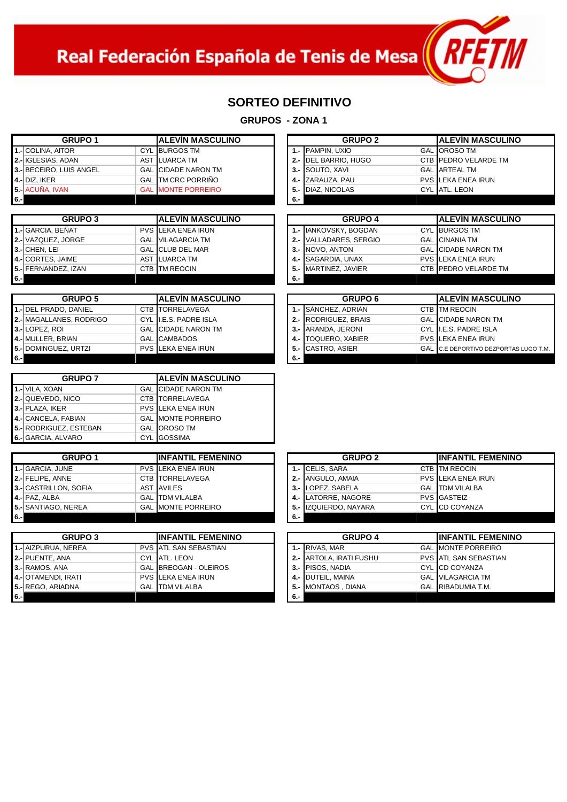Real Federación Española de Tenis de Mesa $\left(\sqrt{N+1}\right)$ 

#### **SORTEO DEFINITIVO**

**GRUPOS - ZONA 1**

|       | <b>GRUPO 1</b>           | <b>IALEVIN MASCULINO</b>   |      | <b>GRUPO 2</b>          | <b>IALEVIN MASCULI</b>      |
|-------|--------------------------|----------------------------|------|-------------------------|-----------------------------|
|       | <b>1.-ICOLINA, AITOR</b> | <b>CYL BURGOS TM</b>       |      | 1.- PAMPIN, UXIO        | <b>GAL OROSO TM</b>         |
|       | 2.- IGLESIAS, ADAN       | AST ILUARCA TM             |      | 2.- DEL BARRIO, HUGO    | <b>CTB PEDRO VELARDE TM</b> |
|       | 3.-IBECEIRO. LUIS ANGEL  | <b>GAL CIDADE NARON TM</b> |      | <b>3.- ISOUTO, XAVI</b> | <b>GAL ARTEAL TM</b>        |
|       | 4 .- DIZ. IKER           | <b>GAL TM CRC PORRIÑO</b>  |      | 4 .- ZARAUZA, PAU       | <b>PVS LEKA ENEA IRUN</b>   |
|       | 5.- ACUÑA, IVAN          | <b>GAL MONTE PORREIRO</b>  |      | 5.- DIAZ. NICOLAS       | CYL ATL. LEON               |
| $6 -$ |                          |                            | - 6. |                         |                             |

1

|     | <b>GRUPO 3</b>            | <b>ALEVIN MASCULINO</b>   |      | <b>GRUPO 4</b>         | <b>IALEVIN MASCULI</b>       |
|-----|---------------------------|---------------------------|------|------------------------|------------------------------|
|     | 1.- GARCIA. BEÑAT         | <b>PVS LEKA ENEA IRUN</b> |      | 1.- IIANKOVSKY, BOGDAN | <b>CYL BURGOS TM</b>         |
|     | <b>2.-</b> VAZQUEZ, JORGE | <b>GAL VILAGARCIA TM</b>  |      | 2.- VALLADARES, SERGIO | <b>GAL CINANIA TM</b>        |
|     | 3.- CHEN, LEI             | <b>GAL CLUB DEL MAR</b>   |      | 3.- INOVO, ANTON       | <b>GAL CIDADE NARON TM</b>   |
|     | <b>4.-</b> CORTES, JAIME  | AST ILUARCA TM            |      | 4.- SAGARDIA, UNAX     | <b>PVS LEKA ENEA IRUN</b>    |
|     | 5.- FERNANDEZ, IZAN       | CTB TM REOCIN             |      | 5.- MARTINEZ, JAVIER   | <b>CTB IPEDRO VELARDE TM</b> |
| 6.1 |                           |                           | - 6. |                        |                              |

|     | <b>GRUPO 5</b>               | IALEVIN MASCULINO          |     | <b>GRUPO 6</b>           | IALEVIN MASCU              |  |
|-----|------------------------------|----------------------------|-----|--------------------------|----------------------------|--|
|     | 1.-IDEL PRADO. DANIEL        | <b>CTB TORRELAVEGA</b>     |     | 1.- ISÁNCHEZ, ADRIÁN     | CTB TM REOCIN              |  |
|     | 2.- MAGALLANES, RODRIGO      | CYL II.E.S. PADRE ISLA     |     | 2.- RODRIGUEZ, BRAIS     | <b>GAL CIDADE NARON TM</b> |  |
|     | 3.-ILOPEZ. ROI               | <b>GAL CIDADE NARON TM</b> |     | 3.- ARANDA, JERONI       | CYL II.E.S. PADRE ISLA     |  |
|     | 4.- MULLER, BRIAN            | <b>GAL CAMBADOS</b>        |     | 4.- TOQUERO, XABIER      | <b>PVS LEKA ENEA IRUN</b>  |  |
|     | <b>15.-IDOMINGUEZ. URTZI</b> | <b>PVS LEKA ENEA IRUN</b>  |     | <b>5.- CASTRO, ASIER</b> | GAL C.E DEPORTIVO DEZPO    |  |
| 6.1 |                              |                            | 6.- |                          |                            |  |

| <b>GRUPO 7</b>         | <b>IALEVIN MASCULINO</b> |                            |
|------------------------|--------------------------|----------------------------|
| 1.- VILA, XOAN         |                          | <b>GAL CIDADE NARON TM</b> |
| 2.- QUEVEDO, NICO      |                          | <b>CTB TORRELAVEGA</b>     |
| 3.- PLAZA, IKER        |                          | <b>PVS LEKA ENEA IRUN</b>  |
| 4.- CANCELA, FABIAN    |                          | <b>GAL MONTE PORREIRO</b>  |
| 5.- RODRIGUEZ, ESTEBAN |                          | <b>GAL OROSO TM</b>        |
| 6.- GARCIA, ALVARO     |                          | <b>CYL</b> GOSSIMA         |

|        | <b>GRUPO 1</b>        | <b>IINFANTIL FEMENINO</b> |     | <b>GRUPO 2</b>        | <b>IINFANTIL FEM</b>      |
|--------|-----------------------|---------------------------|-----|-----------------------|---------------------------|
|        | 1.- GARCIA, JUNE      | <b>PVS LEKA ENEA IRUN</b> |     | 1.- CELIS, SARA       | CTB TM REOCIN             |
|        | 2.- FELIPE, ANNE      | <b>CTB TORRELAVEGA</b>    |     | 2.- ANGULO, AMAIA     | <b>PVS LEKA ENEA IRUN</b> |
|        | 3.- CASTRILLON, SOFIA | <b>AST AVILES</b>         |     | 3.- LOPEZ. SABELA     | <b>GAL ITDM VILALBA</b>   |
|        | 4 .- PAZ, ALBA        | <b>GAL ITDM VILALBA</b>   |     | 4.- LATORRE, NAGORE   | <b>PVS GASTEIZ</b>        |
|        | 5.- SANTIAGO, NEREA   | <b>GAL MONTE PORREIRO</b> |     | 5.- IZQUIERDO, NAYARA | <b>CYL ICD COYANZA</b>    |
| l 6.-l |                       |                           | 6.- |                       |                           |

|     | <b>GRUPO 3</b>           | <b>IINFANTIL FEMENINO</b>     | <b>GRUPO 4</b> |                          | <b>IINFANTIL FEMEN</b>       |
|-----|--------------------------|-------------------------------|----------------|--------------------------|------------------------------|
|     | 1.- AIZPURUA, NEREA      | <b>PVS LATL SAN SEBASTIAN</b> |                | 1.- RIVAS, MAR           | <b>GAL MONTE PORREIRO</b>    |
|     | 2.- PUENTE, ANA          | CYL ATL. LEON                 |                | 2.- IARTOLA. IRATI FUSHU | <b>PVS ATL SAN SEBASTIAN</b> |
|     | 3.- RAMOS, ANA           | <b>GAL BREOGAN - OLEIROS</b>  |                | 3.- PISOS, NADIA         | CYL CD COYANZA               |
|     | 4.- OTAMENDI, IRATI      | <b>PVS LEKA ENEA IRUN</b>     |                | 4.- DUTEIL, MAINA        | <b>GAL VILAGARCIA TM</b>     |
|     | <b>5.- REGO, ARIADNA</b> | <b>GAL ITDM VILALBA</b>       |                | 5.- MONTAOS, DIANA       | <b>GAL RIBADUMIA T.M.</b>    |
| 6.1 |                          |                               | 6.-            |                          |                              |

| <b>GRUPO 1</b>    |  | <b>IALEVIN MASCULINO</b>   |  |     | <b>GRUPO 2</b>       | <b>IALEVIN MASCULINO</b>  |
|-------------------|--|----------------------------|--|-----|----------------------|---------------------------|
| TOR               |  | <b>CYL BURGOS TM</b>       |  |     | 1.- PAMPIN, UXIO     | <b>GAL OROSO TM</b>       |
| <b>ADAN</b>       |  | AST LUARCA TM              |  |     | 2.- DEL BARRIO, HUGO | CTB PEDRO VELARDE TM      |
| <b>LUIS ANGEL</b> |  | <b>GAL CIDADE NARON TM</b> |  |     | 3.- ISOUTO, XAVI     | <b>GAL ARTEAL TM</b>      |
|                   |  | <b>GAL TM CRC PORRIÑO</b>  |  |     | 4 .- ZARAUZA, PAU    | <b>PVS LEKA ENEA IRUN</b> |
| ١N                |  | <b>GAL IMONTE PORREIRO</b> |  |     | 5.- DIAZ. NICOLAS    | CYL ATL. LEON             |
|                   |  |                            |  | 6 - |                      |                           |

| <b>GRUPO 3</b> | IALEVIN MASCULINO         |       | <b>GRUPO 4</b>         | <b>IALEVIN MASCULINO</b> |                            |
|----------------|---------------------------|-------|------------------------|--------------------------|----------------------------|
| EÑAT           | <b>PVS LEKA ENEA IRUN</b> |       | 1.- IIANKOVSKY, BOGDAN |                          | <b>CYL BURGOS TM</b>       |
| JORGE          | <b>GAL VILAGARCIA TM</b>  |       | 2.- VALLADARES, SERGIO |                          | <b>GAL CINANIA TM</b>      |
|                | <b>GAL CLUB DEL MAR</b>   |       | 3.- NOVO, ANTON        |                          | <b>GAL CIDADE NARON TM</b> |
| AIME           | AST LUARCA TM             |       | 4.- SAGARDIA, UNAX     |                          | <b>PVS LEKA ENEA IRUN</b>  |
| Z. IZAN        | CTB TM REOCIN             |       | 5.- MARTINEZ, JAVIER   |                          | CTB PEDRO VELARDE TM       |
|                |                           | $6 -$ |                        |                          |                            |

|      | <b>GRUPO 5</b>                  | <b>IALEVIN MASCULINO</b>   |     | <b>GRUPO 6</b>           | <b>IALEVIN MASCULINO</b>              |
|------|---------------------------------|----------------------------|-----|--------------------------|---------------------------------------|
|      | 1.-IDEL PRADO. DANIEL           | CTB TORRELAVEGA            |     | 1.- ISANCHEZ. ADRIAN     | <b>CTB TM REOCIN</b>                  |
|      | <b>2.-I</b> MAGALLANES. RODRIGO | CYL II.E.S. PADRE ISLA     |     | 2.- RODRIGUEZ, BRAIS     | <b>GAL CIDADE NARON TM</b>            |
|      | 3.-ILOPEZ. ROI                  | <b>GAL CIDADE NARON TM</b> |     | 3.- ARANDA, JERONI       | CYL II.E.S. PADRE ISLA                |
|      | 4.-IMULLER. BRIAN               | <b>GAL CAMBADOS</b>        |     | 4.- TOQUERO, XABIER      | <b>PVS LEKA ENEA IRUN</b>             |
|      | 5.- DOMINGUEZ, URTZI            | <b>PVS LEKA ENEA IRUN</b>  |     | <b>5.- CASTRO, ASIER</b> | GAL C.E DEPORTIVO DEZPORTAS LUGO T.M. |
| 6.-l |                                 |                            | 6.- |                          |                                       |

| <b>GRUPO 1</b>  | <b>IINFANTIL FEMENINO</b> |     | <b>GRUPO 2</b>        | <b>IINFANTIL FEMENINO</b> |                           |  |
|-----------------|---------------------------|-----|-----------------------|---------------------------|---------------------------|--|
| <b>INE</b>      | <b>PVS LEKA ENEA IRUN</b> |     | 1.- CELIS, SARA       |                           | <b>CTB ITM REOCIN</b>     |  |
| <b>NE</b>       | <b>CTB TORRELAVEGA</b>    |     | 2.- ANGULO, AMAIA     |                           | <b>PVS LEKA ENEA IRUN</b> |  |
| <b>N. SOFIA</b> | AST <b>AVILES</b>         |     | 3.- LOPEZ. SABELA     |                           | <b>GAL ITDM VILALBA</b>   |  |
|                 | <b>GAL ITDM VILALBA</b>   |     | 4.- LATORRE, NAGORE   |                           | <b>PVS GASTEIZ</b>        |  |
| <b>NEREA</b>    | <b>GAL MONTE PORREIRO</b> |     | 5.- IZQUIERDO, NAYARA |                           | CYL CD COYANZA            |  |
|                 |                           | 6.- |                       |                           |                           |  |

| <b>GRUPO 3</b> |  | <b>IINFANTIL FEMENINO</b>     |     | <b>GRUPO 4</b>          | <b>IINFANTIL FEMENINO</b> |                               |
|----------------|--|-------------------------------|-----|-------------------------|---------------------------|-------------------------------|
| <b>NEREA</b>   |  | <b>PVS LATL SAN SEBASTIAN</b> |     | 1.- IRIVAS. MAR         |                           | <b>GAL MONTE PORREIRO</b>     |
| NA             |  | CYL ATL. LEON                 |     | 2.- ARTOLA, IRATI FUSHU |                           | <b>PVS LATL SAN SEBASTIAN</b> |
| ΙA             |  | <b>GAL BREOGAN - OLEIROS</b>  |     | 3.- PISOS, NADIA        |                           | <b>CYL ICD COYANZA</b>        |
| <b>IRATI</b>   |  | <b>PVS LEKA ENEA IRUN</b>     |     | 4.- DUTEIL, MAINA       |                           | <b>GAL VILAGARCIA TM</b>      |
| ADNA           |  | <b>GAL TDM VILALBA</b>        |     | 5.- MONTAOS, DIANA      |                           | <b>GAL RIBADUMIA T.M.</b>     |
|                |  |                               | 6.- |                         |                           |                               |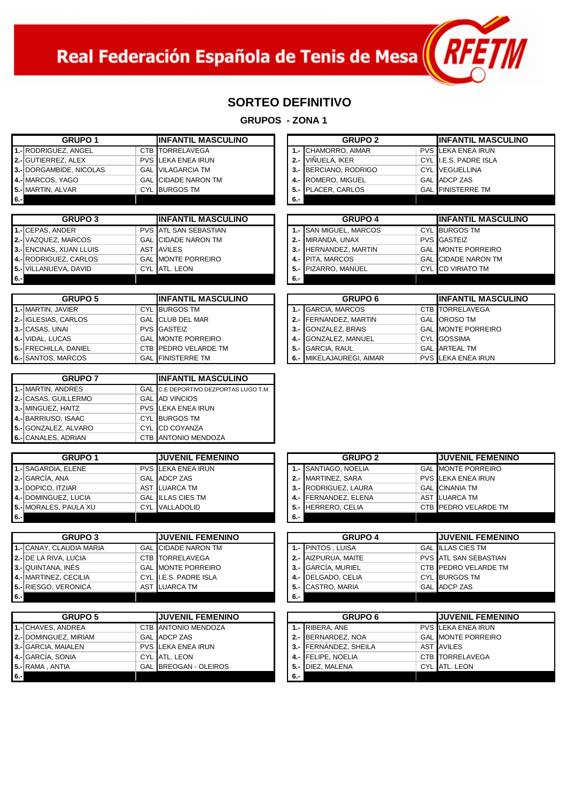

## **SORTEO DEFINITIVO**

**GRUPOS - ZONA 1**

|        | <b>GRUPO 1</b>          | <b>IINFANTIL MASCULINO</b> |     | <b>GRUPO 2</b>             | <b>IINFANTIL MAS</b>      |
|--------|-------------------------|----------------------------|-----|----------------------------|---------------------------|
|        | 1.-IRODRIGUEZ. ANGEL    | CTB TORRELAVEGA            |     | <b>1.- CHAMORRO, AIMAR</b> | <b>PVS LEKA ENEA IRUN</b> |
|        | 2.- GUTIERREZ, ALEX     | <b>PVS LEKA ENEA IRUN</b>  |     | 2.- VIÑUELA. IKER          | CYL II.E.S. PADRE ISLA    |
|        | 3.- DORGAMBIDE, NICOLAS | <b>GAL VILAGARCIA TM</b>   |     | 3.- BERCIANO, RODRIGO      | <b>CYL VEGUELLINA</b>     |
|        | 4.- MARCOS, YAGO        | <b>GAL CIDADE NARON TM</b> |     | 4.- ROMERO, MIGUEL         | <b>GAL ADCP ZAS</b>       |
|        | 5.- MARTIN, ALVAR       | <b>CYL BURGOS TM</b>       |     | 5.- PLACER, CARLOS         | <b>GAL FINISTERRE TM</b>  |
| l 6.-l |                         |                            | 6.- |                            |                           |

1

|        | <b>GRUPO 3</b>               | IINFANTIL MASCULINO           |     | <b>GRUPO 4</b>                 | IINFANTIL MASC             |
|--------|------------------------------|-------------------------------|-----|--------------------------------|----------------------------|
|        |                              |                               |     |                                |                            |
|        | 1.- CEPAS, ANDER             | <b>PVS LATL SAN SEBASTIAN</b> |     | <b>1.- ISAN MIGUEL, MARCOS</b> | <b>CYL BURGOS TM</b>       |
|        | 2.- VAZQUEZ, MARCOS          | <b>GAL CIDADE NARON TM</b>    |     | 2.- MIRANDA, UNAX              | <b>PVS GASTEIZ</b>         |
|        | 3.- ENCINAS, XUAN LLUIS      | <b>AST LAVILES</b>            |     | 3.- HERNANDEZ, MARTIN          | <b>GAL MONTE PORREIRO</b>  |
|        | 4.- RODRIGUEZ, CARLOS        | <b>GAL MONTE PORREIRO</b>     |     | 4.- PITA, MARCOS               | <b>GAL CIDADE NARON TM</b> |
|        | <b>5.- VILLANUEVA, DAVID</b> | CYL ATL. LEON                 |     | 5.- PIZARRO, MANUEL            | <b>CYL ICD VIRIATO TM</b>  |
| l 6.-l |                              |                               | 6.- |                                |                            |

| <b>GRUPO 5</b>              | IINFANTIL MASCULINO       |  | <b>GRUPO 6</b>           | <b>IINFANTIL MASO</b>     |
|-----------------------------|---------------------------|--|--------------------------|---------------------------|
| 1.- MARTIN, JAVIER          | <b>CYL BURGOS TM</b>      |  | 1.- GARCIA, MARCOS       | <b>CTB TORRELAVEGA</b>    |
| <b>2.- IGLESIAS, CARLOS</b> | <b>GAL CLUB DEL MAR</b>   |  | 2.- FERNANDEZ, MARTIN    | <b>GAL OROSO TM</b>       |
| 3.- CASAS, UNAI             | <b>PVS GASTEIZ</b>        |  | 3.- GONZALEZ, BRAIS      | <b>GAL MONTE PORREIRC</b> |
| 4.- VIDAL, LUCAS            | <b>GAL MONTE PORREIRO</b> |  | 4.- GONZALEZ, MANUEL     | <b>CYL GOSSIMA</b>        |
| 5.- FRECHILLA, DANIEL       | CTB PEDRO VELARDE TM      |  | 5.- GARCIA, RAUL         | <b>GAL LARTEAL TM</b>     |
| 6.- SANTOS, MARCOS          | <b>GAL FINISTERRE TM</b>  |  | 6.- MIKELAJAUREGI, AIMAR | <b>PVS LEKA ENEA IRUN</b> |

| <b>GRUPO 7</b>       | <b>IINFANTIL MASCULINO</b> |                                       |  |  |  |  |
|----------------------|----------------------------|---------------------------------------|--|--|--|--|
| 1.- MARTIN, ANDRES   |                            | GAL C.E DEPORTIVO DEZPORTAS LUGO T.M. |  |  |  |  |
| 2.- CASAS, GUILLERMO |                            | <b>GAL AD VINCIOS</b>                 |  |  |  |  |
| 3.- MINGUEZ, HAITZ   |                            | <b>PVS LEKA ENEA IRUN</b>             |  |  |  |  |
| 4.- BARRIUSO, ISAAC  |                            | <b>CYL BURGOS TM</b>                  |  |  |  |  |
| 5.- GONZALEZ, ALVARO |                            | <b>CYL CD COYANZA</b>                 |  |  |  |  |
| 6.- CANALES, ADRIAN  |                            | <b>CTB ANTONIO MENDOZA</b>            |  |  |  |  |

|        | <b>GRUPO 1</b>        | <b>IJUVENIL FEMENINO</b>  |     | <b>GRUPO 2</b>       | <b>IJUVENIL FEMENI</b>       |
|--------|-----------------------|---------------------------|-----|----------------------|------------------------------|
|        | 1.- SAGARDIA, ELENE   | <b>PVS LEKA ENEA IRUN</b> |     | 1.- SANTIAGO, NOELIA | <b>GAL MONTE PORREIRO</b>    |
|        | 2.- GARCÍA, ANA       | <b>GAL ADCP ZAS</b>       |     | 2.- MARTINEZ, SARA   | <b>PVS LEKA ENEA IRUN</b>    |
|        | 3.- DOPICO, ITZIAR    | AST LUARCA TM             |     | 3.- RODRIGUEZ, LAURA | <b>GAL CINANIA TM</b>        |
|        | 4.- DOMINGUEZ, LUCIA  | <b>GAL ILLAS CIES TM</b>  |     | 4.- FERNANDEZ, ELENA | AST ILUARCA TM               |
|        | 5.- MORALES, PAULA XU | CYL VALLADOLID            |     | 5.- HERRERO, CELIA   | <b>CTB IPEDRO VELARDE TM</b> |
| l 6.-l |                       |                           | 6.5 |                      |                              |

|     | <b>GRUPO 3</b>               | <b>JUVENIL FEMENINO</b>    |      | <b>GRUPO 4</b>      | <b>IJUVENIL FEMENI</b>       |
|-----|------------------------------|----------------------------|------|---------------------|------------------------------|
|     | 1.- CANAY, CLAUDIA MARIA     | <b>GAL CIDADE NARON TM</b> |      | 1.- IPINTOS . LUISA | <b>GAL ILLAS CIES TM</b>     |
|     | <b>2.- DE LA RIVA, LUCIA</b> | CTB ITORRELAVEGA           |      | 2.- AIZPURUA, MAITE | <b>PVS ATL SAN SEBASTIAN</b> |
|     | 3.- QUINTANA, INÉS           | <b>GAL MONTE PORREIRO</b>  |      | 3.- GARCIA, MURIEL  | <b>CTB IPEDRO VELARDE TM</b> |
|     | 4.- MARTINEZ, CECILIA        | CYL II.E.S. PADRE ISLA     |      | 4.- DELGADO, CELIA  | <b>CYL BURGOS TM</b>         |
|     | <b>15.- RIESGO, VERONICA</b> | AST LUARCA TM              |      | 5.- CASTRO, MARIA   | <b>GAL ADCP ZAS</b>          |
| 6.1 |                              |                            | - 6. |                     |                              |

|        | <b>GRUPO 5</b>               | <b>JUVENIL FEMENINO</b>      |       | <b>GRUPO 6</b>        | <b>IJUVENIL FEME</b> I     |
|--------|------------------------------|------------------------------|-------|-----------------------|----------------------------|
|        | 1.- CHAVES, ANDREA           | <b>CTB ANTONIO MENDOZA</b>   |       | 1.- RIBERA, ANE       | <b>PVS LEKA ENEA IRUN</b>  |
|        | <b>2.- DOMINGUEZ. MIRIAM</b> | <b>GAL ADCP ZAS</b>          |       | 2.- BERNARDEZ, NOA    | <b>GAL IMONTE PORREIRC</b> |
|        | 3.- GARCIA, MAIALEN          | <b>PVS LEKA ENEA IRUN</b>    |       | 3.- FERNÁNDEZ, SHEILA | <b>AST AVILES</b>          |
|        | 4.- GARCÍA, SONIA            | CYL ATL. LEON                |       | 4.- FELIPE, NOELIA    | <b>CTB TORRELAVEGA</b>     |
|        | 5.- RAMA, ANTIA              | <b>GAL BREOGAN - OLEIROS</b> |       | 5.- DIEZ. MALENA      | CYL ATL. LEON              |
| l 6.-l |                              |                              | $6 -$ |                       |                            |

| <b>GRUPO 1</b> | <b>IINFANTIL MASCULINO</b> | <b>GRUPO 2</b>        | <b>IINFANTIL MASCULINO</b> |
|----------------|----------------------------|-----------------------|----------------------------|
| Z. ANGEL       | CTB TORRELAVEGA            | 1.- ICHAMORRO. AIMAR  | <b>PVS LEKA ENEA IRUN</b>  |
| Z. ALEX        | <b>PVS LEKA ENEA IRUN</b>  | 2.- VIÑUELA. IKER     | CYL II.E.S. PADRE ISLA     |
| DE, NICOLAS    | <b>GAL VILAGARCIA TM</b>   | 3.- BERCIANO, RODRIGO | <b>CYL VEGUELLINA</b>      |
| 'AGO           | <b>GAL CIDADE NARON TM</b> | 4.- ROMERO, MIGUEL    | <b>GAL ADCP ZAS</b>        |
| <b>VAR</b>     | <b>CYL BURGOS TM</b>       | 5.- PLACER, CARLOS    | <b>GAL FINISTERRE TM</b>   |
|                |                            | <b>6.</b>             |                            |

| <b>GRUPO 3</b> | <b>IINFANTIL MASCULINO</b>    | <b>GRUPO 4</b>         | <b>IINFANTIL MASCULINO</b> |
|----------------|-------------------------------|------------------------|----------------------------|
| DER            | <b>PVS LATL SAN SEBASTIAN</b> | 1.- SAN MIGUEL, MARCOS | <b>CYL BURGOS TM</b>       |
| MARCOS         | <b>GAL CIDADE NARON TM</b>    | 2.- MIRANDA, UNAX      | <b>PVS GASTEIZ</b>         |
| (UAN LLUIS     | <b>AST AVILES</b>             | 3.- HERNANDEZ, MARTIN  | <b>GAL MONTE PORREIRO</b>  |
| Z. CARLOS      | <b>GAL MONTE PORREIRO</b>     | 4.- PITA, MARCOS       | <b>GAL CIDADE NARON TM</b> |
| 'A. DAVID      | CYL ATL. LEON                 | 5.- PIZARRO, MANUEL    | CYL ICD VIRIATO TM         |
|                |                               |                        |                            |

| <b>GRUPO 5</b> | <b>IINFANTIL MASCULINO</b>    |  | <b>GRUPO 6</b>           | <b>IINFANTIL MASCULINO</b> |
|----------------|-------------------------------|--|--------------------------|----------------------------|
| VIER           | <b>CYL BURGOS TM</b>          |  | 1.- GARCIA, MARCOS       | <b>CTB ITORRELAVEGA</b>    |
| CARLOS         | <b>GAL CLUB DEL MAR</b>       |  | 2.- FERNANDEZ, MARTIN    | <b>GAL OROSO TM</b>        |
| Al             | <b>PVS GASTEIZ</b>            |  | 3.- GONZALEZ, BRAIS      | <b>GAL MONTE PORREIRO</b>  |
| AS             | <b>GAL MONTE PORREIRO</b>     |  | 4.- GONZALEZ, MANUEL     | <b>CYL GOSSIMA</b>         |
| DANIEL         | CTB <b>I</b> PEDRO VELARDE TM |  | 5.- GARCIA, RAUL         | <b>GAL ARTEAL TM</b>       |
| <b>ARCOS</b>   | <b>GAL FINISTERRE TM</b>      |  | 6.- MIKELAJAUREGI, AIMAR | <b>PVS LEKA ENEA IRUN</b>  |

| <b>GRUPO 1</b> | <b>JUVENIL FEMENINO</b>   |     | <b>GRUPO 2</b>               | <b>JUVENIL FEMENINO</b>      |
|----------------|---------------------------|-----|------------------------------|------------------------------|
| <b>ELENE</b>   | <b>PVS LEKA ENEA IRUN</b> |     | <b>1.- ISANTIAGO, NOELIA</b> | <b>GAL MONTE PORREIRO</b>    |
| ۹Ā             | <b>GAL ADCP ZAS</b>       |     | 2.- MARTINEZ, SARA           | <b>PVS LEKA ENEA IRUN</b>    |
| <b>ZIAR</b>    | AST ILUARCA TM            |     | 3.- RODRIGUEZ, LAURA         | <b>GAL CINANIA TM</b>        |
| Z. LUCIA       | <b>GAL ILLAS CIES TM</b>  |     | 4.- FERNANDEZ, ELENA         | AST ILUARCA TM               |
| PAULA XU       | <b>CYL VALLADOLID</b>     |     | 5.- HERRERO, CELIA           | CTB <b>IPEDRO VELARDE TM</b> |
|                |                           | 6.- |                              |                              |

| <b>GRUPO 3</b> |  | <b>JUVENIL FEMENINO</b>    |     | <b>GRUPO 4</b>      | <b>JUVENIL FEMENINO</b> |                               |
|----------------|--|----------------------------|-----|---------------------|-------------------------|-------------------------------|
| AUDIA MARIA    |  | <b>GAL CIDADE NARON TM</b> |     | 1.- IPINTOS , LUISA |                         | <b>GAL ILLAS CIES TM</b>      |
| ., LUCIA       |  | <b>CTB TORRELAVEGA</b>     |     | 2.- AIZPURUA, MAITE |                         | <b>PVS LATL SAN SEBASTIAN</b> |
| <b>INÉS</b>    |  | <b>GAL MONTE PORREIRO</b>  |     | 3.- GARCÍA, MURIEL  |                         | CTB PEDRO VELARDE TM          |
| <b>CECILIA</b> |  | CYL II.E.S. PADRE ISLA     |     | 4.- DELGADO, CELIA  |                         | CYL BURGOS TM                 |
| ERONICA        |  | AST LUARCA TM              |     | 5.- CASTRO, MARIA   |                         | <b>GAL ADCP ZAS</b>           |
|                |  |                            | - 6 |                     |                         |                               |

| <b>GRUPO 5</b> | <b>JUVENIL FEMENINO</b>      |     | <b>GRUPO 6</b>        | <b>IJUVENIL FEMENINO</b>  |
|----------------|------------------------------|-----|-----------------------|---------------------------|
| NDREA          | <b>CTB ANTONIO MENDOZA</b>   |     | 1.- RIBERA, ANE       | <b>PVS LEKA ENEA IRUN</b> |
| Z, MIRIAM      | <b>GAL ADCP ZAS</b>          |     | 2.- BERNARDEZ, NOA    | <b>GAL MONTE PORREIRO</b> |
| AIALEN         | <b>PVS LEKA ENEA IRUN</b>    |     | 3.- FERNÁNDEZ, SHEILA | <b>AST AVILES</b>         |
| ainc           | CYL ATL. LEON                |     | 4.- FELIPE, NOELIA    | <b>CTB TORRELAVEGA</b>    |
| ГIА            | <b>GAL BREOGAN - OLEIROS</b> |     | 5.- DIEZ. MALENA      | CYL ATL. LEON             |
|                |                              | 6.- |                       |                           |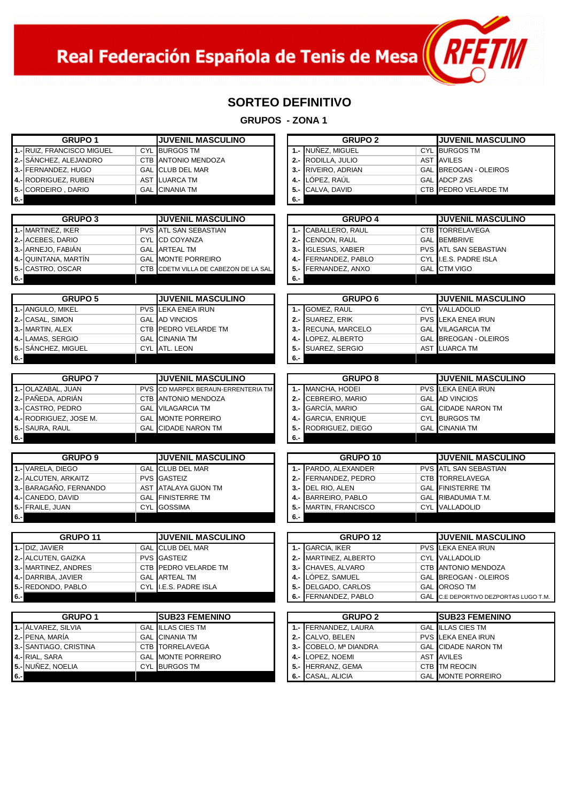Real Federación Española de Tenis de Mesa $\left(\sqrt{R+1}\right)$ 

1

## **SORTEO DEFINITIVO**

| <b>GRUPO 1</b>             | <b>JUVENIL MASCULINO</b>                     | <b>GRUPO 2</b>                  | <b>JUVENIL MASCULINO</b>              |
|----------------------------|----------------------------------------------|---------------------------------|---------------------------------------|
| 1.- RUIZ, FRANCISCO MIGUEL | <b>CYL BURGOS TM</b>                         | 1.- NUÑEZ, MIGUEL               | <b>CYL BURGOS TM</b>                  |
| 2.- SÁNCHEZ, ALEJANDRO     | CTB ANTONIO MENDOZA                          | $2 -$<br>RODILLA, JULIO         | <b>AST AVILES</b>                     |
|                            | <b>GAL CLUB DEL MAR</b>                      |                                 | <b>GAL BREOGAN - OLEIROS</b>          |
| 3.- FERNANDEZ, HUGO        |                                              | 3.- RIVEIRO, ADRIAN             | <b>GAL</b> ADCP ZAS                   |
| 4.- RODRIGUEZ, RUBEN       | AST LUARCA TM                                | LÓPEZ, RAÚL<br>4.-              |                                       |
| 5.- CORDEIRO, DARIO        | <b>GAL</b> CINANIA TM                        | CALVA, DAVID<br>5.-             | CTB PEDRO VELARDE TM                  |
| $6. -$                     |                                              | 6.-                             |                                       |
|                            |                                              |                                 |                                       |
| <b>GRUPO 3</b>             | <b>JUVENIL MASCULINO</b>                     | <b>GRUPO 4</b>                  | <b>JUVENIL MASCULINO</b>              |
| 1.- MARTINEZ, IKER         | <b>PVS ATL SAN SEBASTIAN</b>                 | 1.- CABALLERO, RAUL             | CTB TORRELAVEGA                       |
| 2.- ACEBES, DARIO          | <b>CYL CD COYANZA</b>                        | CENDON, RAUL<br>$2 -$           | <b>GAL BEMBRIVE</b>                   |
| 3.- ARNEJO, FABIÁN         | <b>GAL ARTEAL TM</b>                         | 3.- IGLESIAS, XABIER            | <b>PVS ATL SAN SEBASTIAN</b>          |
| 4.- QUINTANA, MARTÍN       | <b>GAL MONTE PORREIRO</b>                    | FERNANDEZ, PABLO<br>4.-         | CYL I.E.S. PADRE ISLA                 |
| 5.- CASTRO, OSCAR          | CTB CDETM VILLA DE CABEZON DE LA SAL         | 5.-<br>FERNANDEZ, ANXO          | <b>GAL</b> CTM VIGO                   |
| $6 -$                      |                                              | 6.-                             |                                       |
|                            |                                              |                                 |                                       |
| <b>GRUPO 5</b>             | <b>JUVENIL MASCULINO</b>                     | <b>GRUPO 6</b>                  | <b>JUVENIL MASCULINO</b>              |
| 1.- ANGULO, MIKEL          | <b>PVS LEKA ENEA IRUN</b>                    | 1.- GOMEZ, RAUL                 | <b>CYL</b> VALLADOLID                 |
| 2.- CASAL, SIMON           | <b>GAL AD VINCIOS</b>                        | $2 -$<br><b>SUAREZ, ERIK</b>    | <b>PVS LEKA ENEA IRUN</b>             |
| 3.- MARTIN, ALEX           | CTB PEDRO VELARDE TM                         | <b>RECUNA, MARCELO</b><br>$3 -$ | <b>GAL VILAGARCIA TM</b>              |
| 4 .- LAMAS, SERGIO         | <b>GAL</b> CINANIA TM                        | LOPEZ, ALBERTO<br>4.-           | <b>GAL BREOGAN - OLEIROS</b>          |
| 5.- SÁNCHEZ, MIGUEL        | CYL ATL. LEON                                | 5.-<br><b>SUAREZ, SERGIO</b>    | AST LUARCA TM                         |
| $6 -$                      |                                              | $6 -$                           |                                       |
|                            |                                              |                                 |                                       |
| <b>GRUPO 7</b>             | <b>JUVENIL MASCULINO</b>                     | <b>GRUPO 8</b>                  | <b>JUVENIL MASCULINO</b>              |
| 1.- OLAZABAL, JUAN         | <b>PVS</b><br>CD MARPEX BERAUN-ERRENTERIA TM | 1.- MANCHA, HODEI               | <b>PVS LEKA ENEA IRUN</b>             |
| 2.- PAÑEDA, ADRIÁN         | <b>CTB ANTONIO MENDOZA</b>                   | CEBREIRO, MARIO<br>$2 -$        | <b>GAL AD VINCIOS</b>                 |
| 3.- CASTRO, PEDRO          | <b>GAL</b> VILAGARCIA TM                     | GARCÍA, MARIO<br>$3 -$          | <b>GAL CIDADE NARON TM</b>            |
| 4.- RODRIGUEZ, JOSE M.     | <b>GAL MONTE PORREIRO</b>                    | <b>GARCIA, ENRIQUE</b><br>4.-   | <b>CYL BURGOS TM</b>                  |
| 5.- SAURA, RAUL            | <b>GAL CIDADE NARON TM</b>                   | RODRIGUEZ, DIEGO<br>5.-         | <b>GAL CINANIA TM</b>                 |
| $6 -$                      |                                              | 6.-                             |                                       |
|                            |                                              |                                 |                                       |
| <b>GRUPO 9</b>             | <b>JUVENIL MASCULINO</b>                     | GRUPO <sub>10</sub>             | <b>JUVENIL MASCULINO</b>              |
| 1.- VARELA, DIEGO          | <b>GAL CLUB DEL MAR</b>                      | 1.- PARDO, ALEXANDER            | <b>PVS ATL SAN SEBASTIAN</b>          |
| 2.- ALCUTEN, ARKAITZ       | <b>PVS GASTEIZ</b>                           | 2.- FERNANDEZ, PEDRO            | <b>CTB TORRELAVEGA</b>                |
| 3.- BARAGAÑO, FERNANDO     | AST ATALAYA GIJON TM                         | 3.- DEL RIO, ALEN               | <b>GAL FINISTERRE TM</b>              |
| 4.- CANEDO, DAVID          | <b>GAL FINISTERRE TM</b>                     | <b>BARREIRO, PABLO</b><br>4.-   | GAL RIBADUMIA T.M.                    |
| 5.- FRAILE, JUAN           | CYL GOSSIMA                                  | 5.-<br>MARTIN, FRANCISCO        | CYL VALLADOLID                        |
| $6 -$                      |                                              | 6.-                             |                                       |
|                            |                                              |                                 |                                       |
| GRUPO 11                   | <b>JUVENIL MASCULINO</b>                     | GRUPO <sub>12</sub>             | <b>JUVENIL MASCULINO</b>              |
| 1.- DIZ, JAVIER            | <b>GAL CLUB DEL MAR</b>                      | 1.- GARCIA, IKER                | <b>PVS LEKA ENEA IRUN</b>             |
| 2.- ALCUTEN, GAIZKA        | <b>PVS GASTEIZ</b>                           | 2.- MARTINEZ, ALBERTO           | CYL VALLADOLID                        |
| 3.- MARTINEZ, ANDRES       | CTB PEDRO VELARDE TM                         | 3.- CHAVES, ALVARO              | CTB ANTONIO MENDOZA                   |
| 4 .- DARRIBA, JAVIER       | <b>GAL</b> ARTEAL TM                         | 4.- LÓPEZ, SAMUEL               | GAL BREOGAN - OLEIROS                 |
| 5.- REDONDO, PABLO         | CYL I.E.S. PADRE ISLA                        | 5.- DELGADO, CARLOS             | GAL OROSO TM                          |
| $6 -$                      |                                              | 6 .- FERNANDEZ, PABLO           | GAL C.E DEPORTIVO DEZPORTAS LUGO T.M. |
|                            |                                              |                                 |                                       |
| <b>GRUPO 1</b>             | <b>SUB23 FEMENINO</b>                        | <b>GRUPO 2</b>                  | <b>SUB23 FEMENINO</b>                 |
| 1.- JÁLVAREZ. SILVIA       | <b>GAL ILLAS CIES TM</b>                     | 1.- FERNANDEZ, LAURA            | <b>GAL ILLAS CIES TM</b>              |
| 2.- PENA, MARIA            | <b>GAL</b> CINANIA TM                        | 2.- CALVO, BELEN                | <b>PVS LEKA ENEA IRUN</b>             |
| 3.- SANTIAGO, CRISTINA     | <b>CTB TORRELAVEGA</b>                       | 3.- COBELO, Mª DIANDRA          | <b>GAL CIDADE NARON TM</b>            |
| 4.- RIAL, SARA             | <b>GAL MONTE PORREIRO</b>                    | 4.- LOPEZ, NOEMI                | AST AVILES                            |
| 5.- NUÑEZ, NOELIA          | <b>CYL BURGOS TM</b>                         | 5.- HERRANZ, GEMA               | CTB TM REOCIN                         |
| $6 -$                      |                                              | CASAL, ALICIA<br>6.-            | <b>GAL MONTE PORREIRO</b>             |
|                            |                                              |                                 |                                       |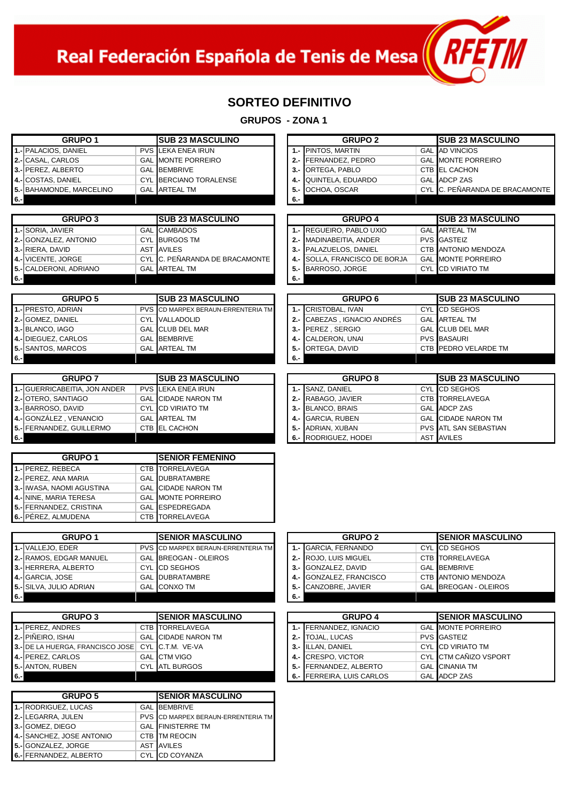Real Federación Española de Tenis de Mesa $\left(\sqrt{RFLM}\right)$ 

1

#### **SORTEO DEFINITIVO**

| <b>GRUPO 1</b>                          |                         | <b>SUB 23 MASCULINO</b>                              |                | <b>GRUPO 2</b>                             | <b>SUB 23 MASCULINO</b>                         |  |
|-----------------------------------------|-------------------------|------------------------------------------------------|----------------|--------------------------------------------|-------------------------------------------------|--|
| 1.- PALACIOS, DANIEL                    | <b>PVS</b>              | <b>LEKA ENEA IRUN</b>                                | $1 -$          | PINTOS, MARTIN                             | <b>GAL AD VINCIOS</b>                           |  |
| 2.- CASAL, CARLOS                       |                         | <b>GAL MONTE PORREIRO</b>                            | $2 -$          | FERNANDEZ, PEDRO                           | <b>GAL MONTE PORREIRO</b>                       |  |
| 3.- PEREZ, ALBERTO                      |                         | <b>GAL BEMBRIVE</b>                                  | $3 -$          | ORTEGA, PABLO                              | <b>CTB EL CACHON</b>                            |  |
| 4.- COSTAS, DANIEL                      |                         | CYL BERCIANO TORALENSE                               | 4.-            | QUINTELA, EDUARDO                          | <b>GAL ADCP ZAS</b>                             |  |
| 5.- BAHAMONDE, MARCELINO                |                         | <b>GAL</b> ARTEAL TM                                 | 5.-            | OCHOA, OSCAR                               | CYL C. PEÑARANDA DE BRACAMONTE                  |  |
| 6.-                                     |                         |                                                      | 6.-            |                                            |                                                 |  |
|                                         |                         |                                                      |                |                                            |                                                 |  |
| <b>GRUPO 3</b>                          | <b>SUB 23 MASCULINO</b> |                                                      | <b>GRUPO 4</b> | <b>SUB 23 MASCULINO</b>                    |                                                 |  |
| 1.- SORIA, JAVIER                       |                         | <b>GAL CAMBADOS</b>                                  |                | 1.- REGUEIRO, PABLO UXIO                   | <b>GAL ARTEAL TM</b>                            |  |
| 2.- GONZALEZ, ANTONIO                   |                         | <b>CYL BURGOS TM</b>                                 |                | 2.- MADINABEITIA, ANDER                    | <b>PVS GASTEIZ</b>                              |  |
| 3.- RIERA, DAVID                        |                         | <b>AST AVILES</b>                                    |                | 3.- PALAZUELOS, DANIEL                     | CTB ANTONIO MENDOZA                             |  |
| 4 .- VICENTE, JORGE                     |                         | CYL C. PEÑARANDA DE BRACAMONTE                       | 4.-            | SOLLA, FRANCISCO DE BORJA                  | <b>GAL MONTE PORREIRO</b>                       |  |
| 5.- CALDERONI, ADRIANO                  |                         | <b>GAL</b> ARTEAL TM                                 | 5.-            | BARROSO, JORGE                             | CYL CD VIRIATO TM                               |  |
| 6.-                                     |                         |                                                      | 6.-            |                                            |                                                 |  |
|                                         |                         |                                                      |                |                                            |                                                 |  |
| <b>GRUPO 5</b>                          |                         | <b>SUB 23 MASCULINO</b>                              |                | GRUPO <sub>6</sub>                         | <b>SUB 23 MASCULINO</b>                         |  |
| 1.- PRESTO, ADRIAN                      | <b>PVS</b>              | CD MARPEX BERAUN-ERRENTERIA TM                       |                | 1.- CRISTOBAL, IVAN                        | <b>CYL CD SEGHOS</b>                            |  |
| 2.- GOMEZ, DANIEL                       |                         | <b>CYL VALLADOLID</b>                                |                | 2.- CABEZAS, IGNACIO ANDRÉS                | <b>GAL ARTEAL TM</b>                            |  |
| 3.- BLANCO, IAGO                        |                         | <b>GAL CLUB DEL MAR</b>                              |                | 3.- PEREZ, SERGIO                          | <b>GAL CLUB DEL MAR</b>                         |  |
| 4.- DIEGUEZ, CARLOS                     |                         | <b>GAL BEMBRIVE</b>                                  | 4.-            | CALDERON, UNAI                             | <b>PVS BASAURI</b>                              |  |
| 5.- SANTOS, MARCOS                      |                         | <b>GAL ARTEAL TM</b>                                 | 5.-            | ORTEGA, DAVID                              | CTB PEDRO VELARDE TM                            |  |
| 6.-                                     |                         |                                                      | 6.-            |                                            |                                                 |  |
|                                         |                         |                                                      |                |                                            |                                                 |  |
| <b>GRUPO 7</b>                          |                         | <b>SUB 23 MASCULINO</b>                              |                | <b>GRUPO 8</b>                             | <b>SUB 23 MASCULINO</b>                         |  |
| 1.- GUERRICABEITIA. JON ANDER           |                         | <b>PVS LEKA ENEA IRUN</b>                            | $1 -$          | <b>SANZ. DANIEL</b>                        | <b>CYL</b> CD SEGHOS                            |  |
| 2.- OTERO, SANTIAGO                     |                         | <b>GAL CIDADE NARON TM</b>                           |                | 2.- RABAGO, JAVIER                         | CTB TORRELAVEGA                                 |  |
| 3.- BARROSO, DAVID                      |                         | <b>CYL CD VIRIATO TM</b>                             |                | 3.- BLANCO, BRAIS                          | <b>GAL ADCP ZAS</b>                             |  |
| 4.- GONZÁLEZ, VENANCIO                  |                         | <b>GAL</b> ARTEAL TM                                 | 4.-            | <b>GARCIA, RUBEN</b>                       | <b>GAL CIDADE NARON TM</b>                      |  |
| 5.- FERNANDEZ, GUILLERMO                |                         | CTB EL CACHON                                        | 5.-            | ADRIAN, XUBAN                              | <b>PVS ATL SAN SEBASTIAN</b>                    |  |
| $6 -$                                   |                         |                                                      | 6.-            | RODRIGUEZ, HODEI                           | AST AVILES                                      |  |
| <b>GRUPO 1</b>                          |                         | <b>SENIOR FEMENINO</b>                               |                |                                            |                                                 |  |
| 1.- PEREZ, REBECA                       |                         | <b>CTB TORRELAVEGA</b>                               |                |                                            |                                                 |  |
| 2.- PEREZ, ANA MARIA                    |                         | <b>GAL DUBRATAMBRE</b>                               |                |                                            |                                                 |  |
| 3.- IWASA, NAOMI AGUSTINA               |                         | <b>GAL CIDADE NARON TM</b>                           |                |                                            |                                                 |  |
| 4.- NINE, MARIA TERESA                  |                         | <b>GAL MONTE PORREIRO</b>                            |                |                                            |                                                 |  |
| 5.- FERNANDEZ, CRISTINA                 |                         | <b>GAL ESPEDREGADA</b>                               |                |                                            |                                                 |  |
| 6.- PÉREZ, ALMUDENA                     |                         | <b>CTB TORRELAVEGA</b>                               |                |                                            |                                                 |  |
|                                         |                         |                                                      |                |                                            |                                                 |  |
| <b>GRUPO 1</b>                          |                         | <b>SENIOR MASCULINO</b>                              |                | <b>GRUPO 2</b>                             | <b>SENIOR MASCULINO</b>                         |  |
| 1.- VALLEJO, EDER                       |                         | PVS CD MARPEX BERAUN-ERRENTERIA TM                   |                | 1.- GARCIA, FERNANDO                       | CYL CD SEGHOS                                   |  |
| 2.- RAMOS, EDGAR MANUEL                 |                         | GAL BREOGAN - OLEIROS                                | $2 -$          | ROJO, LUIS MIGUEL                          | CTB TORRELAVEGA                                 |  |
| 3.- HERRERA, ALBERTO                    |                         | CYL CD SEGHOS                                        |                | 3.- GONZALEZ, DAVID                        | <b>GAL BEMBRIVE</b>                             |  |
| 4.- GARCIA, JOSE                        |                         | GAL DUBRATAMBRE                                      |                | 4.- GONZALEZ, FRANCISCO                    | CTB ANTONIO MENDOZA                             |  |
| 5.- SILVA, JULIO ADRIAN                 |                         | <b>GAL</b> CONXO TM                                  |                | 5.- CANZOBRE, JAVIER                       | GAL BREOGAN - OLEIROS                           |  |
| $6 -$                                   |                         |                                                      | 6.-            |                                            |                                                 |  |
|                                         |                         |                                                      |                |                                            |                                                 |  |
| <b>GRUPO 3</b>                          |                         | <b>SENIOR MASCULINO</b>                              |                | <b>GRUPO 4</b>                             | <b>SENIOR MASCULINO</b>                         |  |
| 1.- PEREZ, ANDRES<br>2.- PIÑEIRO, ISHAI |                         | <b>CTB TORRELAVEGA</b><br><b>GAL CIDADE NARON TM</b> |                | 1.- FERNANDEZ, IGNACIO<br>2.- TOJAL, LUCAS | <b>GAL MONTE PORREIRO</b><br><b>PVS GASTEIZ</b> |  |
| 3.- DE LA HUERGA, FRANCISCO JOSE        |                         | CYL C.T.M. VE-VA                                     |                | 3.- ILLAN, DANIEL                          | <b>CYL CD VIRIATO TM</b>                        |  |
| 4.- PEREZ, CARLOS                       |                         | <b>GAL CTM VIGO</b>                                  |                | 4.- CRESPO, VICTOR                         | CYL CTM CAÑIZO VSPORT                           |  |
| 5.- ANTON, RUBEN                        |                         | CYL ATL BURGOS                                       |                | 5.- FERNANDEZ, ALBERTO                     | <b>GAL</b> CINANIA TM                           |  |
| $6 -$                                   |                         |                                                      |                | 6.- FERREIRA, LUIS CARLOS                  | GAL ADCP ZAS                                    |  |
|                                         |                         |                                                      |                |                                            |                                                 |  |
| <b>GRUPO 5</b>                          |                         |                                                      |                |                                            |                                                 |  |
|                                         |                         | <b>SENIOR MASCULINO</b>                              |                |                                            |                                                 |  |
| 1.- RODRIGUEZ, LUCAS                    |                         | <b>GAL BEMBRIVE</b>                                  |                |                                            |                                                 |  |
| 2.-LEGARRA, JULEN                       |                         | PVS CD MARPEX BERAUN-ERRENTERIA TM                   |                |                                            |                                                 |  |
| 3.- GOMEZ, DIEGO                        |                         | <b>GAL FINISTERRE TM</b>                             |                |                                            |                                                 |  |
| 4.- SANCHEZ, JOSE ANTONIO               |                         | CTB TM REOCIN                                        |                |                                            |                                                 |  |
| 5.- GONZALEZ, JORGE                     |                         | AST AVILES                                           |                |                                            |                                                 |  |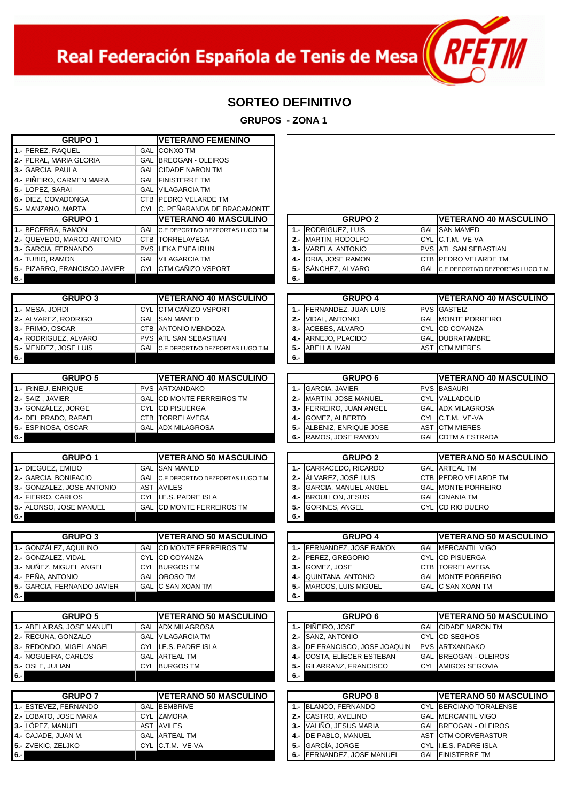Real Federación Española de Tenis de Mesa $\left(\sqrt{R+1}\right)$ 

1

# **SORTEO DEFINITIVO**

| <b>GRUPO 1</b>                                   |            | <b>VETERANO FEMENINO</b>                               |            |                                                 |            |                                                        |
|--------------------------------------------------|------------|--------------------------------------------------------|------------|-------------------------------------------------|------------|--------------------------------------------------------|
| 1.- PEREZ, RAQUEL                                |            | <b>GAL CONXO TM</b>                                    |            |                                                 |            |                                                        |
| 2.- PERAL, MARIA GLORIA                          |            | <b>GAL BREOGAN - OLEIROS</b>                           |            |                                                 |            |                                                        |
| 3.- GARCIA, PAULA                                |            | <b>GAL CIDADE NARON TM</b>                             |            |                                                 |            |                                                        |
| 4.- PIÑEIRO, CARMEN MARIA                        |            | <b>GAL FINISTERRE TM</b>                               |            |                                                 |            |                                                        |
| 5.- LOPEZ, SARAI                                 |            | <b>GAL VILAGARCIA TM</b>                               |            |                                                 |            |                                                        |
| 6.- DIEZ, COVADONGA                              |            | CTB PEDRO VELARDE TM                                   |            |                                                 |            |                                                        |
| 5.- MANZANO, MARTA                               |            | CYL C. PEÑARANDA DE BRACAMONTE                         |            |                                                 |            |                                                        |
| <b>GRUPO 1</b>                                   |            | <b>VETERANO 40 MASCULINO</b>                           |            | <b>GRUPO 2</b>                                  |            | <b>VETERANO 40 MASCULINO</b>                           |
| 1.-BECERRA, RAMON                                |            | GAL C.E DEPORTIVO DEZPORTAS LUGO T.M.                  |            | 1.- RODRIGUEZ, LUIS                             |            | <b>GAL SAN MAMED</b>                                   |
| 2.- QUEVEDO, MARCO ANTONIO                       |            | <b>CTB TORRELAVEGA</b>                                 |            | 2.- MARTIN, RODOLFO                             |            | CYL C.T.M. VE-VA                                       |
| 3.- GARCIA, FERNANDO                             | <b>PVS</b> | <b>LEKA ENEA IRUN</b>                                  | $3 -$      | VARELA, ANTONIO                                 |            | <b>PVS ATL SAN SEBASTIAN</b>                           |
| 4.- TUBIO, RAMON                                 |            | <b>GAL VILAGARCIA TM</b>                               |            | 4.- ORIA, JOSE RAMON                            |            | CTB PEDRO VELARDE TM                                   |
| 5.- PIZARRO, FRANCISCO JAVIER                    |            | CYL CTM CAÑIZO VSPORT                                  | $5. -$     | SÁNCHEZ, ALVARO                                 |            | GAL C.E DEPORTIVO DEZPORTAS LUGO T.M.                  |
| $6 -$                                            |            |                                                        | 6.-        |                                                 |            |                                                        |
| <b>GRUPO 3</b>                                   |            | <b>VETERANO 40 MASCULINO</b>                           |            | <b>GRUPO 4</b>                                  |            | <b>VETERANO 40 MASCULINO</b>                           |
| 1.- MESA, JORDI                                  |            | CYL CTM CANIZO VSPORT                                  | $1 -$      | FERNANDEZ, JUAN LUIS                            |            | <b>PVS GASTEIZ</b>                                     |
| 2.- ALVAREZ, RODRIGO                             |            | <b>GAL ISAN MAMED</b>                                  | $2 -$      | <b>VIDAL, ANTONIO</b>                           |            | <b>GAL MONTE PORREIRO</b>                              |
| 3.- PRIMO, OSCAR                                 |            | <b>CTB ANTONIO MENDOZA</b>                             |            | 3.- ACEBES, ALVARO                              |            | CYL CD COYANZA                                         |
| 4.- RODRIGUEZ, ALVARO                            |            | <b>PVS ATL SAN SEBASTIAN</b>                           |            | 4.- ARNEJO, PLACIDO                             |            | <b>GAL DUBRATAMBRE</b>                                 |
| 5.- MENDEZ, JOSE LUIS                            | GAL        | C.E DEPORTIVO DEZPORTAS LUGO T.M.                      |            | 5 .- ABELLA, IVAN                               |            | <b>AST CTM MIERES</b>                                  |
| $6 -$                                            |            |                                                        | 6.-        |                                                 |            |                                                        |
|                                                  |            |                                                        |            |                                                 |            |                                                        |
| <b>GRUPO 5</b>                                   |            | <b>VETERANO 40 MASCULINO</b>                           |            | <b>GRUPO 6</b>                                  |            | <b>VETERANO 40 MASCULINO</b>                           |
| 1.- IRINEU, ENRIQUE                              |            | <b>PVS ARTXANDAKO</b>                                  | $1 -$      | <b>GARCIA, JAVIER</b>                           |            | <b>PVS BASAURI</b>                                     |
| 2.- SAIZ, JAVIER                                 |            | <b>GAL CD MONTE FERREIROS TM</b>                       |            | 2.- MARTIN, JOSE MANUEL                         |            | <b>CYL VALLADOLID</b>                                  |
| 3.- GONZÁLEZ, JORGE                              |            | <b>CYL CD PISUERGA</b>                                 |            | 3.- FERREIRO, JUAN ANGEL                        |            | <b>GAL ADX MILAGROSA</b>                               |
| 4.- DEL PRADO, RAFAEL                            | CTB        | <b>TORRELAVEGA</b>                                     |            | 4.- GOMEZ, ALBERTO                              |            | CYL C.T.M. VE-VA                                       |
| 5.- ESPINOSA, OSCAR                              | <b>GAL</b> | <b>ADX MILAGROSA</b>                                   |            | 5.- ALBENIZ, ENRIQUE JOSE                       | <b>AST</b> | <b>CTM MIERES</b>                                      |
| $6 -$                                            |            |                                                        |            | 6.- RAMOS, JOSE RAMON                           | GAL        | <b>CDTM A ESTRADA</b>                                  |
|                                                  |            |                                                        |            |                                                 |            |                                                        |
|                                                  |            |                                                        |            |                                                 |            |                                                        |
| <b>GRUPO 1</b>                                   |            | <b>VETERANO 50 MASCULINO</b>                           |            | <b>GRUPO 2</b>                                  |            | <b>VETERANO 50 MASCULINO</b>                           |
| 1.- DIEGUEZ, EMILIO                              |            | <b>GAL ISAN MAMED</b>                                  | $1 -$      | CARRACEDO, RICARDO                              |            | <b>GAL ARTEAL TM</b>                                   |
| 2.- GARCIA, BONIFACIO                            | <b>GAL</b> | C.E DEPORTIVO DEZPORTAS LUGO T.M.<br><b>AST AVILES</b> |            | 2.- ALVAREZ, JOSÉ LUIS                          |            | CTB PEDRO VELARDE TM<br><b>GAL MONTE PORREIRO</b>      |
| 3.- GONZALEZ, JOSE ANTONIO<br>4.- FIERRO, CARLOS |            | CYL I.E.S. PADRE ISLA                                  |            | 3.- GARCIA, MANUEL ANGEL<br>4.- BROULLON, JESUS |            | <b>GAL CINANIA TM</b>                                  |
| 5.- ALONSO, JOSE MANUEL                          | GAL        | CD MONTE FERREIROS TM                                  | $5. -$     | <b>GORINES, ANGEL</b>                           |            | CYL CD RIO DUERO                                       |
| $6 -$                                            |            |                                                        | $6 -$      |                                                 |            |                                                        |
|                                                  |            |                                                        |            |                                                 |            |                                                        |
| <b>GRUPO 3</b>                                   |            | <b>VETERANO 50 MASCULINO</b>                           |            | <b>GRUPO 4</b>                                  |            | <b>VETERANO 50 MASCULINO</b>                           |
| 1.- GONZÁLEZ, AQUILINO                           |            | <b>GAL CD MONTE FERREIROS TM</b>                       |            | 1.- FERNANDEZ, JOSE RAMON                       |            | <b>GAL MERCANTIL VIGO</b>                              |
| 2.- GONZALEZ, VIDAL                              |            | CYL CD COYANZA                                         |            | 2.- PEREZ, GREGORIO                             |            | <b>CYL CD PISUERGA</b>                                 |
| 3.- NUÑEZ, MIGUEL ANGEL                          |            | CYL BURGOS TM                                          |            | 3.- GOMEZ, JOSE                                 |            | CTB TORRELAVEGA                                        |
| 4.- PEÑA, ANTONIO                                |            | GAL OROSO TM                                           | 4.-        | <b>QUINTANA, ANTONIO</b>                        |            | <b>GAL MONTE PORREIRO</b>                              |
| 5.- GARCIA, FERNANDO JAVIER                      |            | GAL C SAN XOAN TM                                      | 5.-<br>6.- | MARCOS, LUIS MIGUEL                             |            | GAL C SAN XOAN TM                                      |
| $6 -$                                            |            |                                                        |            |                                                 |            |                                                        |
| <b>GRUPO 5</b>                                   |            | <b>VETERANO 50 MASCULINO</b>                           |            | GRUPO <sub>6</sub>                              |            | <b>VETERANO 50 MASCULINO</b>                           |
| 1.- ABELAIRAS, JOSE MANUEL                       |            | <b>GAL ADX MILAGROSA</b>                               | $1 -$      | PIÑEIRO, JOSE                                   |            | <b>GAL CIDADE NARON TM</b>                             |
| 2.- RECUNA, GONZALO                              |            | <b>GAL VILAGARCIA TM</b>                               | $2 -$      | SANZ, ANTONIO                                   |            | <b>CYL</b> CD SEGHOS                                   |
| 3.- REDONDO, MIGEL ANGEL                         |            | CYL I.E.S. PADRE ISLA                                  |            | 3.- DE FRANCISCO, JOSE JOAQUIN                  |            | <b>PVS ARTXANDAKO</b>                                  |
| 4.- NOGUEIRA, CARLOS                             |            | <b>GAL ARTEAL TM</b>                                   | 4.-        | COSTA, ELIECER ESTEBAN                          |            | <b>GAL BREOGAN - OLEIROS</b>                           |
| 5.- OSLE, JULIAN                                 |            | CYL BURGOS TM                                          | 5.-        | GILARRANZ, FRANCISCO                            |            | <b>CYL</b> AMIGOS SEGOVIA                              |
| 6.-                                              |            |                                                        | 6.-        |                                                 |            |                                                        |
|                                                  |            |                                                        |            |                                                 |            |                                                        |
| <b>GRUPO 7</b><br>1.- ESTEVEZ, FERNANDO          |            | <b>VETERANO 50 MASCULINO</b><br><b>GAL BEMBRIVE</b>    |            | <b>GRUPO 8</b><br>1.- BLANCO, FERNANDO          |            | <b>VETERANO 50 MASCULINO</b><br>CYL BERCIANO TORALENSE |
| 2.- LOBATO, JOSE MARIA                           |            | CYL ZAMORA                                             |            | 2.- CASTRO, AVELINO                             |            | <b>GAL MERCANTIL VIGO</b>                              |
| 3.- LÓPEZ, MANUEL                                |            | AST AVILES                                             |            | 3.- VALIÑO, JESUS MARIA                         |            | <b>GAL BREOGAN - OLEIROS</b>                           |
| 4.- CAJADE, JUAN M.                              |            | <b>GAL ARTEAL TM</b>                                   | 4.-        | DE PABLO, MANUEL                                |            | AST CTM CORVERASTUR                                    |
| 5.- ZVEKIC, ZELJKO                               |            | CYL C.T.M. VE-VA                                       | 5.-        | GARCÍA, JORGE                                   |            | CYL I.E.S. PADRE ISLA                                  |